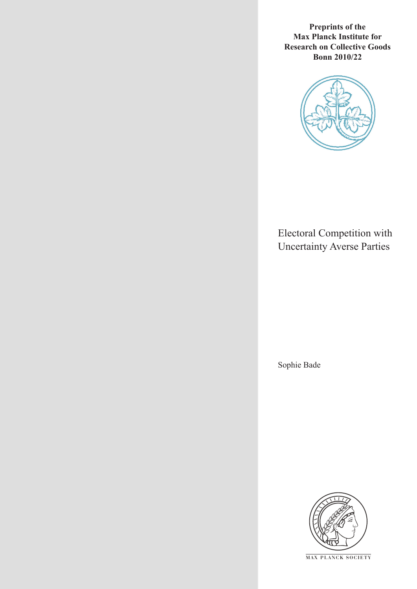**Preprints of the Max Planck Institute for Research on Collective Goods Bonn 2010/22**



# Electoral Competition with Uncertainty Averse Parties

Sophie Bade



**M AX P L A N C K S O C I E T Y**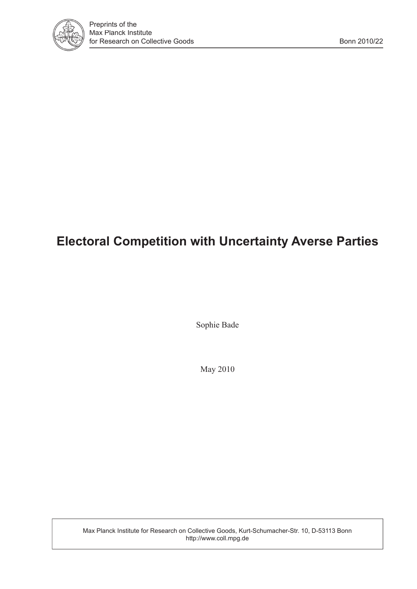

# **Electoral Competition with Uncertainty Averse Parties**

Sophie Bade

May 2010

Max Planck Institute for Research on Collective Goods, Kurt-Schumacher-Str. 10, D-53113 Bonn http://www.coll.mpg.de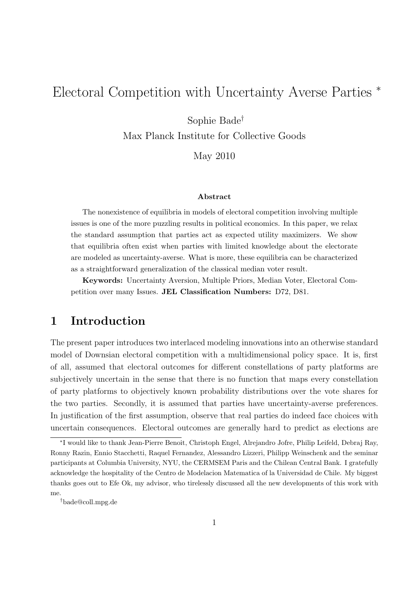# Electoral Competition with Uncertainty Averse Parties <sup>∗</sup>

Sophie Bade†

Max Planck Institute for Collective Goods

May 2010

#### Abstract

The nonexistence of equilibria in models of electoral competition involving multiple issues is one of the more puzzling results in political economics. In this paper, we relax the standard assumption that parties act as expected utility maximizers. We show that equilibria often exist when parties with limited knowledge about the electorate are modeled as uncertainty-averse. What is more, these equilibria can be characterized as a straightforward generalization of the classical median voter result.

Keywords: Uncertainty Aversion, Multiple Priors, Median Voter, Electoral Competition over many Issues. JEL Classification Numbers: D72, D81.

# 1 Introduction

The present paper introduces two interlaced modeling innovations into an otherwise standard model of Downsian electoral competition with a multidimensional policy space. It is, first of all, assumed that electoral outcomes for different constellations of party platforms are subjectively uncertain in the sense that there is no function that maps every constellation of party platforms to objectively known probability distributions over the vote shares for the two parties. Secondly, it is assumed that parties have uncertainty-averse preferences. In justification of the first assumption, observe that real parties do indeed face choices with uncertain consequences. Electoral outcomes are generally hard to predict as elections are

†bade@coll.mpg.de

<sup>∗</sup> I would like to thank Jean-Pierre Benoit, Christoph Engel, Alrejandro Jofre, Philip Leifeld, Debraj Ray, Ronny Razin, Ennio Stacchetti, Raquel Fernandez, Alessandro Lizzeri, Philipp Weinschenk and the seminar participants at Columbia University, NYU, the CERMSEM Paris and the Chilean Central Bank. I gratefully acknowledge the hospitality of the Centro de Modelacion Matematica of la Universidad de Chile. My biggest thanks goes out to Efe Ok, my advisor, who tirelessly discussed all the new developments of this work with me.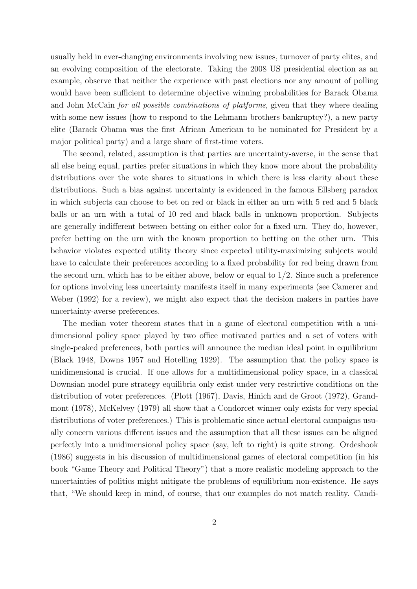usually held in ever-changing environments involving new issues, turnover of party elites, and an evolving composition of the electorate. Taking the 2008 US presidential election as an example, observe that neither the experience with past elections nor any amount of polling would have been sufficient to determine objective winning probabilities for Barack Obama and John McCain for all possible combinations of platforms, given that they where dealing with some new issues (how to respond to the Lehmann brothers bankruptcy?), a new party elite (Barack Obama was the first African American to be nominated for President by a major political party) and a large share of first-time voters.

The second, related, assumption is that parties are uncertainty-averse, in the sense that all else being equal, parties prefer situations in which they know more about the probability distributions over the vote shares to situations in which there is less clarity about these distributions. Such a bias against uncertainty is evidenced in the famous Ellsberg paradox in which subjects can choose to bet on red or black in either an urn with 5 red and 5 black balls or an urn with a total of 10 red and black balls in unknown proportion. Subjects are generally indifferent between betting on either color for a fixed urn. They do, however, prefer betting on the urn with the known proportion to betting on the other urn. This behavior violates expected utility theory since expected utility-maximizing subjects would have to calculate their preferences according to a fixed probability for red being drawn from the second urn, which has to be either above, below or equal to  $1/2$ . Since such a preference for options involving less uncertainty manifests itself in many experiments (see Camerer and Weber (1992) for a review), we might also expect that the decision makers in parties have uncertainty-averse preferences.

The median voter theorem states that in a game of electoral competition with a unidimensional policy space played by two office motivated parties and a set of voters with single-peaked preferences, both parties will announce the median ideal point in equilibrium (Black 1948, Downs 1957 and Hotelling 1929). The assumption that the policy space is unidimensional is crucial. If one allows for a multidimensional policy space, in a classical Downsian model pure strategy equilibria only exist under very restrictive conditions on the distribution of voter preferences. (Plott (1967), Davis, Hinich and de Groot (1972), Grandmont (1978), McKelvey (1979) all show that a Condorcet winner only exists for very special distributions of voter preferences.) This is problematic since actual electoral campaigns usually concern various different issues and the assumption that all these issues can be aligned perfectly into a unidimensional policy space (say, left to right) is quite strong. Ordeshook (1986) suggests in his discussion of multidimensional games of electoral competition (in his book "Game Theory and Political Theory") that a more realistic modeling approach to the uncertainties of politics might mitigate the problems of equilibrium non-existence. He says that, "We should keep in mind, of course, that our examples do not match reality. Candi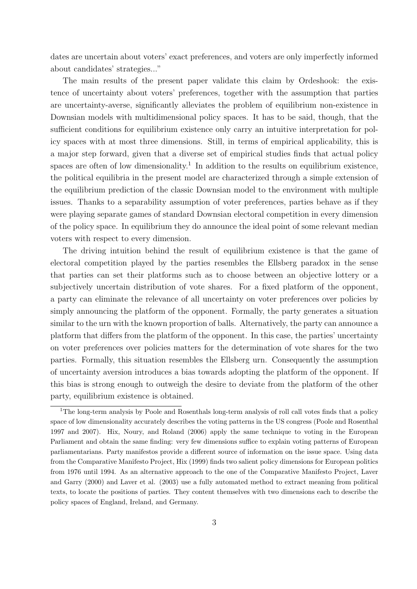dates are uncertain about voters' exact preferences, and voters are only imperfectly informed about candidates' strategies..."

The main results of the present paper validate this claim by Ordeshook: the existence of uncertainty about voters' preferences, together with the assumption that parties are uncertainty-averse, significantly alleviates the problem of equilibrium non-existence in Downsian models with multidimensional policy spaces. It has to be said, though, that the sufficient conditions for equilibrium existence only carry an intuitive interpretation for policy spaces with at most three dimensions. Still, in terms of empirical applicability, this is a major step forward, given that a diverse set of empirical studies finds that actual policy spaces are often of low dimensionality.<sup>1</sup> In addition to the results on equilibrium existence, the political equilibria in the present model are characterized through a simple extension of the equilibrium prediction of the classic Downsian model to the environment with multiple issues. Thanks to a separability assumption of voter preferences, parties behave as if they were playing separate games of standard Downsian electoral competition in every dimension of the policy space. In equilibrium they do announce the ideal point of some relevant median voters with respect to every dimension.

The driving intuition behind the result of equilibrium existence is that the game of electoral competition played by the parties resembles the Ellsberg paradox in the sense that parties can set their platforms such as to choose between an objective lottery or a subjectively uncertain distribution of vote shares. For a fixed platform of the opponent, a party can eliminate the relevance of all uncertainty on voter preferences over policies by simply announcing the platform of the opponent. Formally, the party generates a situation similar to the urn with the known proportion of balls. Alternatively, the party can announce a platform that differs from the platform of the opponent. In this case, the parties' uncertainty on voter preferences over policies matters for the determination of vote shares for the two parties. Formally, this situation resembles the Ellsberg urn. Consequently the assumption of uncertainty aversion introduces a bias towards adopting the platform of the opponent. If this bias is strong enough to outweigh the desire to deviate from the platform of the other party, equilibrium existence is obtained.

<sup>&</sup>lt;sup>1</sup>The long-term analysis by Poole and Rosenthals long-term analysis of roll call votes finds that a policy space of low dimensionality accurately describes the voting patterns in the US congress (Poole and Rosenthal 1997 and 2007). Hix, Noury, and Roland (2006) apply the same technique to voting in the European Parliament and obtain the same finding: very few dimensions suffice to explain voting patterns of European parliamentarians. Party manifestos provide a different source of information on the issue space. Using data from the Comparative Manifesto Project, Hix (1999) finds two salient policy dimensions for European politics from 1976 until 1994. As an alternative approach to the one of the Comparative Manifesto Project, Laver and Garry (2000) and Laver et al. (2003) use a fully automated method to extract meaning from political texts, to locate the positions of parties. They content themselves with two dimensions each to describe the policy spaces of England, Ireland, and Germany.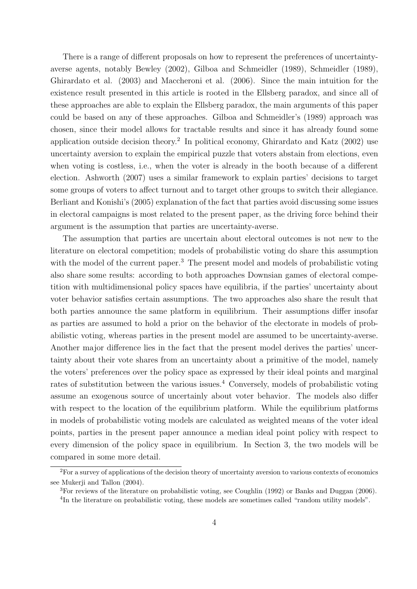There is a range of different proposals on how to represent the preferences of uncertaintyaverse agents, notably Bewley (2002), Gilboa and Schmeidler (1989), Schmeidler (1989), Ghirardato et al. (2003) and Maccheroni et al. (2006). Since the main intuition for the existence result presented in this article is rooted in the Ellsberg paradox, and since all of these approaches are able to explain the Ellsberg paradox, the main arguments of this paper could be based on any of these approaches. Gilboa and Schmeidler's (1989) approach was chosen, since their model allows for tractable results and since it has already found some application outside decision theory.<sup>2</sup> In political economy, Ghirardato and Katz (2002) use uncertainty aversion to explain the empirical puzzle that voters abstain from elections, even when voting is costless, i.e., when the voter is already in the booth because of a different election. Ashworth (2007) uses a similar framework to explain parties' decisions to target some groups of voters to affect turnout and to target other groups to switch their allegiance. Berliant and Konishi's (2005) explanation of the fact that parties avoid discussing some issues in electoral campaigns is most related to the present paper, as the driving force behind their argument is the assumption that parties are uncertainty-averse.

The assumption that parties are uncertain about electoral outcomes is not new to the literature on electoral competition; models of probabilistic voting do share this assumption with the model of the current paper.<sup>3</sup> The present model and models of probabilistic voting also share some results: according to both approaches Downsian games of electoral competition with multidimensional policy spaces have equilibria, if the parties' uncertainty about voter behavior satisfies certain assumptions. The two approaches also share the result that both parties announce the same platform in equilibrium. Their assumptions differ insofar as parties are assumed to hold a prior on the behavior of the electorate in models of probabilistic voting, whereas parties in the present model are assumed to be uncertainty-averse. Another major difference lies in the fact that the present model derives the parties' uncertainty about their vote shares from an uncertainty about a primitive of the model, namely the voters' preferences over the policy space as expressed by their ideal points and marginal rates of substitution between the various issues.<sup>4</sup> Conversely, models of probabilistic voting assume an exogenous source of uncertainly about voter behavior. The models also differ with respect to the location of the equilibrium platform. While the equilibrium platforms in models of probabilistic voting models are calculated as weighted means of the voter ideal points, parties in the present paper announce a median ideal point policy with respect to every dimension of the policy space in equilibrium. In Section 3, the two models will be compared in some more detail.

<sup>&</sup>lt;sup>2</sup>For a survey of applications of the decision theory of uncertainty aversion to various contexts of economics see Mukerji and Tallon (2004).

<sup>3</sup>For reviews of the literature on probabilistic voting, see Coughlin (1992) or Banks and Duggan (2006).

<sup>&</sup>lt;sup>4</sup>In the literature on probabilistic voting, these models are sometimes called "random utility models".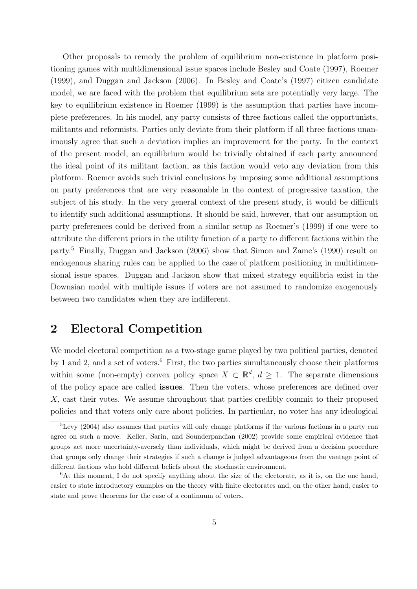Other proposals to remedy the problem of equilibrium non-existence in platform positioning games with multidimensional issue spaces include Besley and Coate (1997), Roemer (1999), and Duggan and Jackson (2006). In Besley and Coate's (1997) citizen candidate model, we are faced with the problem that equilibrium sets are potentially very large. The key to equilibrium existence in Roemer (1999) is the assumption that parties have incomplete preferences. In his model, any party consists of three factions called the opportunists, militants and reformists. Parties only deviate from their platform if all three factions unanimously agree that such a deviation implies an improvement for the party. In the context of the present model, an equilibrium would be trivially obtained if each party announced the ideal point of its militant faction, as this faction would veto any deviation from this platform. Roemer avoids such trivial conclusions by imposing some additional assumptions on party preferences that are very reasonable in the context of progressive taxation, the subject of his study. In the very general context of the present study, it would be difficult to identify such additional assumptions. It should be said, however, that our assumption on party preferences could be derived from a similar setup as Roemer's (1999) if one were to attribute the different priors in the utility function of a party to different factions within the party.<sup>5</sup> Finally, Duggan and Jackson (2006) show that Simon and Zame's (1990) result on endogenous sharing rules can be applied to the case of platform positioning in multidimensional issue spaces. Duggan and Jackson show that mixed strategy equilibria exist in the Downsian model with multiple issues if voters are not assumed to randomize exogenously between two candidates when they are indifferent.

# 2 Electoral Competition

We model electoral competition as a two-stage game played by two political parties, denoted by 1 and 2, and a set of voters.<sup>6</sup> First, the two parties simultaneously choose their platforms within some (non-empty) convex policy space  $X \subset \mathbb{R}^d$ ,  $d \geq 1$ . The separate dimensions of the policy space are called issues. Then the voters, whose preferences are defined over X, cast their votes. We assume throughout that parties credibly commit to their proposed policies and that voters only care about policies. In particular, no voter has any ideological

<sup>5</sup>Levy (2004) also assumes that parties will only change platforms if the various factions in a party can agree on such a move. Keller, Sarin, and Sounderpandian (2002) provide some empirical evidence that groups act more uncertainty-aversely than individuals, which might be derived from a decision procedure that groups only change their strategies if such a change is judged advantageous from the vantage point of different factions who hold different beliefs about the stochastic environment.

 ${}^{6}$ At this moment, I do not specify anything about the size of the electorate, as it is, on the one hand, easier to state introductory examples on the theory with finite electorates and, on the other hand, easier to state and prove theorems for the case of a continuum of voters.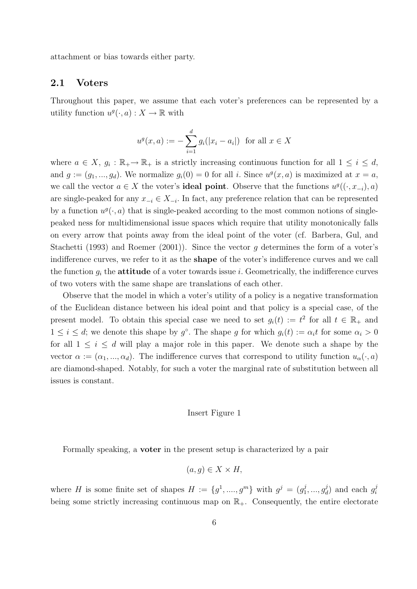attachment or bias towards either party.

### 2.1 Voters

Throughout this paper, we assume that each voter's preferences can be represented by a utility function  $u^g(\cdot, a): X \to \mathbb{R}$  with

$$
u^g(x, a) := -\sum_{i=1}^d g_i(|x_i - a_i|)
$$
 for all  $x \in X$ 

where  $a \in X$ ,  $g_i : \mathbb{R}_+ \to \mathbb{R}_+$  is a strictly increasing continuous function for all  $1 \leq i \leq d$ , and  $g := (g_1, ..., g_d)$ . We normalize  $g_i(0) = 0$  for all i. Since  $u^g(x, a)$  is maximized at  $x = a$ , we call the vector  $a \in X$  the voter's **ideal point**. Observe that the functions  $u^g((\cdot, x_{-i}), a)$ are single-peaked for any  $x_{-i} \in X_{-i}$ . In fact, any preference relation that can be represented by a function  $u^g(\cdot, a)$  that is single-peaked according to the most common notions of singlepeaked ness for multidimensional issue spaces which require that utility monotonically falls on every arrow that points away from the ideal point of the voter (cf. Barbera, Gul, and Stachetti (1993) and Roemer (2001)). Since the vector g determines the form of a voter's indifference curves, we refer to it as the shape of the voter's indifference curves and we call the function  $g_i$  the **attitude** of a voter towards issue i. Geometrically, the indifference curves of two voters with the same shape are translations of each other.

Observe that the model in which a voter's utility of a policy is a negative transformation of the Euclidean distance between his ideal point and that policy is a special case, of the present model. To obtain this special case we need to set  $g_i(t) := t^2$  for all  $t \in \mathbb{R}_+$  and  $1 \leq i \leq d$ ; we denote this shape by  $g^{\circ}$ . The shape g for which  $g_i(t) := \alpha_i t$  for some  $\alpha_i > 0$ for all  $1 \leq i \leq d$  will play a major role in this paper. We denote such a shape by the vector  $\alpha := (\alpha_1, ..., \alpha_d)$ . The indifference curves that correspond to utility function  $u_\alpha(\cdot, a)$ are diamond-shaped. Notably, for such a voter the marginal rate of substitution between all issues is constant.

#### Insert Figure 1

Formally speaking, a voter in the present setup is characterized by a pair

$$
(a, g) \in X \times H,
$$

where H is some finite set of shapes  $H := \{g^1, ..., g^m\}$  with  $g^j = (g_1^j, ..., g_m^j)$  $j_1^j, ..., g_a^j$  $g_d^j$ ) and each  $g_i^j$ i being some strictly increasing continuous map on  $\mathbb{R}_+$ . Consequently, the entire electorate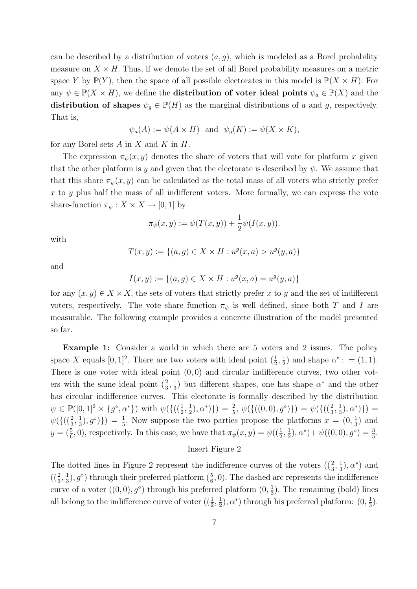can be described by a distribution of voters  $(a, g)$ , which is modeled as a Borel probability measure on  $X \times H$ . Thus, if we denote the set of all Borel probability measures on a metric space Y by  $\mathbb{P}(Y)$ , then the space of all possible electorates in this model is  $\mathbb{P}(X \times H)$ . For any  $\psi \in \mathbb{P}(X \times H)$ , we define the **distribution of voter ideal points**  $\psi_a \in \mathbb{P}(X)$  and the distribution of shapes  $\psi_g \in \mathbb{P}(H)$  as the marginal distributions of a and g, respectively. That is,

$$
\psi_a(A) := \psi(A \times H)
$$
 and  $\psi_g(K) := \psi(X \times K)$ ,

for any Borel sets  $A$  in  $X$  and  $K$  in  $H$ .

The expression  $\pi_{\psi}(x, y)$  denotes the share of voters that will vote for platform x given that the other platform is y and given that the electorate is described by  $\psi$ . We assume that that this share  $\pi_{\psi}(x, y)$  can be calculated as the total mass of all voters who strictly prefer  $x$  to  $y$  plus half the mass of all indifferent voters. More formally, we can express the vote share-function  $\pi_{\psi}: X \times X \to [0,1]$  by

$$
\pi_{\psi}(x, y) := \psi(T(x, y)) + \frac{1}{2}\psi(I(x, y)).
$$

with

$$
T(x, y) := \{(a, g) \in X \times H : u^{g}(x, a) > u^{g}(y, a)\}
$$

and

$$
I(x, y) := \{(a, g) \in X \times H : u^g(x, a) = u^g(y, a)\}
$$

for any  $(x, y) \in X \times X$ , the sets of voters that strictly prefer x to y and the set of indifferent voters, respectively. The vote share function  $\pi_{\psi}$  is well defined, since both T and I are measurable. The following example provides a concrete illustration of the model presented so far.

Example 1: Consider a world in which there are 5 voters and 2 issues. The policy space X equals  $[0,1]^2$ . There are two voters with ideal point  $(\frac{1}{2},\frac{1}{2})$  $(\frac{1}{2})$  and shape  $\alpha^*$ : = (1, 1). There is one voter with ideal point  $(0, 0)$  and circular indifference curves, two other voters with the same ideal point  $(\frac{2}{3}, \frac{1}{3})$  $\frac{1}{3}$ ) but different shapes, one has shape  $\alpha^*$  and the other has circular indifference curves. This electorate is formally described by the distribution  $\psi \in \mathbb{P}([0,1]^2 \times \{g^{\circ}, \alpha^*\})$  with  $\psi(\{((\frac{1}{2}, \frac{1}{2}))$  $\{\frac{1}{2}), \alpha^*\}\) = \frac{2}{5}, \psi(\{((0,0),g^{\circ})\}) = \psi(\{((\frac{2}{3},\frac{1}{3}$  $(\frac{1}{3}), \alpha^*)\}) =$  $\psi(\{((\frac{2}{3}, \frac{1}{3}$  $(\frac{1}{3}), g^{\circ}$ }) =  $\frac{1}{5}$ . Now suppose the two parties propose the platforms  $x = (0, \frac{1}{3})$  $(\frac{1}{3})$  and  $y = (\frac{5}{6}, 0)$ , respectively. In this case, we have that  $\pi_{\psi}(x, y) = \psi((\frac{1}{2}, \frac{1}{2})$  $(\frac{1}{2}), \alpha^*) + \psi((0,0), g^{\circ}) = \frac{3}{5}.$ 

### Insert Figure 2

The dotted lines in Figure 2 represent the indifference curves of the voters  $\left(\left(\frac{2}{3},\frac{1}{3}\right)\right)$  $(\frac{1}{3}), \alpha^*$  and  $\left(\left(\frac{2}{3},\frac{1}{3}\right)$  $(\frac{1}{3}), g^{\circ}$  through their preferred platform  $(\frac{5}{6}, 0)$ . The dashed arc represents the indifference curve of a voter  $((0,0),g^{\circ})$  through his preferred platform  $(0, \frac{1}{3})$  $\frac{1}{3}$ ). The remaining (bold) lines all belong to the indifference curve of voter  $\left(\left(\frac{1}{2},\frac{1}{2}\right)$  $(\frac{1}{2}), \alpha^*$ ) through his preferred platform:  $(0, \frac{1}{3})$  $\frac{1}{3}$ .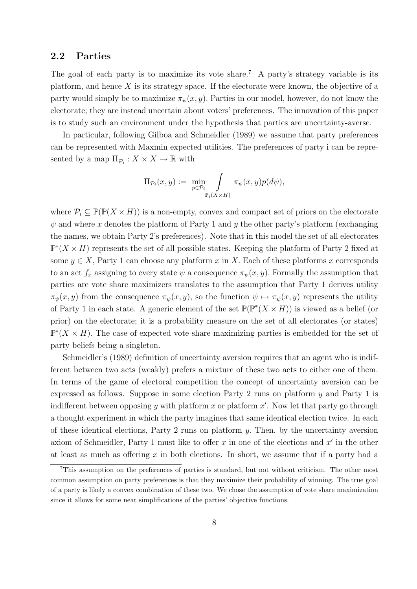### 2.2 Parties

The goal of each party is to maximize its vote share.<sup>7</sup> A party's strategy variable is its platform, and hence  $X$  is its strategy space. If the electorate were known, the objective of a party would simply be to maximize  $\pi_{\psi}(x, y)$ . Parties in our model, however, do not know the electorate; they are instead uncertain about voters' preferences. The innovation of this paper is to study such an environment under the hypothesis that parties are uncertainty-averse.

In particular, following Gilboa and Schmeidler (1989) we assume that party preferences can be represented with Maxmin expected utilities. The preferences of party i can be represented by a map  $\Pi_{\mathcal{P}_i}: X \times X \to \mathbb{R}$  with

$$
\Pi_{\mathcal{P}_i}(x,y):=\,\min_{p\in\mathcal{P}_i}\int\limits_{\mathbb{P}_i(X\times H)}\pi_{\psi}(x,y)p(d\psi),
$$

where  $P_i \subseteq \mathbb{P}(\mathbb{P}(X \times H))$  is a non-empty, convex and compact set of priors on the electorate  $\psi$  and where x denotes the platform of Party 1 and y the other party's platform (exchanging the names, we obtain Party 2's preferences). Note that in this model the set of all electorates  $\mathbb{P}^*(X \times H)$  represents the set of all possible states. Keeping the platform of Party 2 fixed at some  $y \in X$ , Party 1 can choose any platform x in X. Each of these platforms x corresponds to an act  $f_x$  assigning to every state  $\psi$  a consequence  $\pi_{\psi}(x, y)$ . Formally the assumption that parties are vote share maximizers translates to the assumption that Party 1 derives utility  $\pi_{\psi}(x, y)$  from the consequence  $\pi_{\psi}(x, y)$ , so the function  $\psi \mapsto \pi_{\psi}(x, y)$  represents the utility of Party 1 in each state. A generic element of the set  $\mathbb{P}(\mathbb{P}^*(X \times H))$  is viewed as a belief (or prior) on the electorate; it is a probability measure on the set of all electorates (or states)  $\mathbb{P}^*(X \times H)$ . The case of expected vote share maximizing parties is embedded for the set of party beliefs being a singleton.

Schmeidler's (1989) definition of uncertainty aversion requires that an agent who is indifferent between two acts (weakly) prefers a mixture of these two acts to either one of them. In terms of the game of electoral competition the concept of uncertainty aversion can be expressed as follows. Suppose in some election Party 2 runs on platform  $y$  and Party 1 is indifferent between opposing y with platform x or platform  $x'$ . Now let that party go through a thought experiment in which the party imagines that same identical election twice. In each of these identical elections, Party 2 runs on platform y. Then, by the uncertainty aversion axiom of Schmeidler, Party 1 must like to offer  $x$  in one of the elections and  $x'$  in the other at least as much as offering  $x$  in both elections. In short, we assume that if a party had a

<sup>&</sup>lt;sup>7</sup>This assumption on the preferences of parties is standard, but not without criticism. The other most common assumption on party preferences is that they maximize their probability of winning. The true goal of a party is likely a convex combination of these two. We chose the assumption of vote share maximization since it allows for some neat simplifications of the parties' objective functions.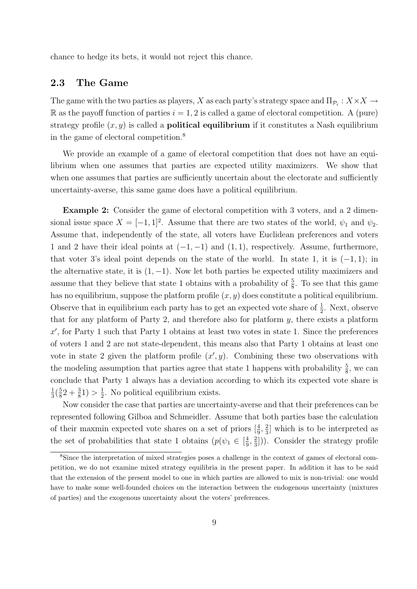chance to hedge its bets, it would not reject this chance.

### 2.3 The Game

The game with the two parties as players, X as each party's strategy space and  $\Pi_{\mathcal{P}_i}: X \times X \to Y$  $\mathbb R$  as the payoff function of parties  $i = 1, 2$  is called a game of electoral competition. A (pure) strategy profile  $(x, y)$  is called a **political equilibrium** if it constitutes a Nash equilibrium in the game of electoral competition.<sup>8</sup>

We provide an example of a game of electoral competition that does not have an equilibrium when one assumes that parties are expected utility maximizers. We show that when one assumes that parties are sufficiently uncertain about the electorate and sufficiently uncertainty-averse, this same game does have a political equilibrium.

Example 2: Consider the game of electoral competition with 3 voters, and a 2 dimensional issue space  $X = [-1, 1]^2$ . Assume that there are two states of the world,  $\psi_1$  and  $\psi_2$ . Assume that, independently of the state, all voters have Euclidean preferences and voters 1 and 2 have their ideal points at  $(-1, -1)$  and  $(1, 1)$ , respectively. Assume, furthermore, that voter 3's ideal point depends on the state of the world. In state 1, it is  $(-1, 1)$ ; in the alternative state, it is  $(1, -1)$ . Now let both parties be expected utility maximizers and assume that they believe that state 1 obtains with a probability of  $\frac{5}{8}$ . To see that this game has no equilibrium, suppose the platform profile  $(x, y)$  does constitute a political equilibrium. Observe that in equilibrium each party has to get an expected vote share of  $\frac{1}{2}$ . Next, observe that for any platform of Party 2, and therefore also for platform  $y$ , there exists a platform  $x'$ , for Party 1 such that Party 1 obtains at least two votes in state 1. Since the preferences of voters 1 and 2 are not state-dependent, this means also that Party 1 obtains at least one vote in state 2 given the platform profile  $(x', y)$ . Combining these two observations with the modeling assumption that parties agree that state 1 happens with probability  $\frac{5}{8}$ , we can conclude that Party 1 always has a deviation according to which its expected vote share is 1  $rac{1}{3}(\frac{5}{8})$  $\frac{5}{8}2 + \frac{3}{8}1$ ) >  $\frac{1}{2}$  $\frac{1}{2}$ . No political equilibrium exists.

Now consider the case that parties are uncertainty-averse and that their preferences can be represented following Gilboa and Schmeidler. Assume that both parties base the calculation of their maxmin expected vote shares on a set of priors  $\left[\frac{4}{9}, \frac{2}{3}\right]$  $\frac{2}{3}$  which is to be interpreted as the set of probabilities that state 1 obtains  $(p(\psi_1 \in [\frac{4}{9}$  $\frac{4}{9}, \frac{2}{3}$  $\frac{2}{3}$ ]). Consider the strategy profile

<sup>8</sup>Since the interpretation of mixed strategies poses a challenge in the context of games of electoral competition, we do not examine mixed strategy equilibria in the present paper. In addition it has to be said that the extension of the present model to one in which parties are allowed to mix is non-trivial: one would have to make some well-founded choices on the interaction between the endogenous uncertainty (mixtures of parties) and the exogenous uncertainty about the voters' preferences.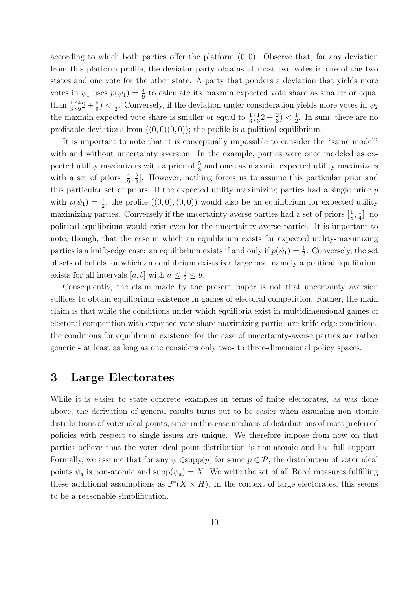according to which both parties offer the platform  $(0, 0)$ . Observe that, for any deviation from this platform profile, the deviator party obtains at most two votes in one of the two states and one vote for the other state. A party that ponders a deviation that yields more votes in  $\psi_1$  uses  $p(\psi_1) = \frac{4}{9}$  to calculate its maxmin expected vote share as smaller or equal than  $\frac{1}{3}(\frac{4}{9})$  $\frac{4}{9}2 + \frac{5}{9}$  >  $\frac{1}{2}$  $\frac{1}{2}$ . Conversely, if the deviation under consideration yields more votes in  $\psi_2$ the maxmin expected vote share is smaller or equal to  $\frac{1}{3}(\frac{1}{3})$  $\frac{1}{3}2 + \frac{2}{3}$  >  $\lt \frac{1}{2}$  $\frac{1}{2}$ . In sum, there are no profitable deviations from  $((0,0)(0,0))$ ; the profile is a political equilibrium.

It is important to note that it is conceptually impossible to consider the "same model" with and without uncertainty aversion. In the example, parties were once modeled as expected utility maximizers with a prior of  $\frac{5}{8}$  and once as maxmin expected utility maximizers with a set of priors  $\left[\frac{4}{9}, \frac{2}{3}\right]$  $\frac{2}{3}$ . However, nothing forces us to assume this particular prior and this particular set of priors. If the expected utility maximizing parties had a single prior p with  $p(\psi_1) = \frac{1}{2}$ , the profile  $((0, 0), (0, 0))$  would also be an equilibrium for expected utility maximizing parties. Conversely if the uncertainty-averse parties had a set of priors  $\left[\frac{1}{8}, \frac{1}{4}\right]$  $\frac{1}{4}$ , no political equilibrium would exist even for the uncertainty-averse parties. It is important to note, though, that the case in which an equilibrium exists for expected utility-maximizing parties is a knife-edge case: an equilibrium exists if and only if  $p(\psi_1) = \frac{1}{2}$ . Conversely, the set of sets of beliefs for which an equilibrium exists is a large one, namely a political equilibrium exists for all intervals  $[a, b]$  with  $a \leq \frac{1}{2} \leq b$ .

Consequently, the claim made by the present paper is not that uncertainty aversion suffices to obtain equilibrium existence in games of electoral competition. Rather, the main claim is that while the conditions under which equilibria exist in multidimensional games of electoral competition with expected vote share maximizing parties are knife-edge conditions, the conditions for equilibrium existence for the case of uncertainty-averse parties are rather generic - at least as long as one considers only two- to three-dimensional policy spaces.

### 3 Large Electorates

While it is easier to state concrete examples in terms of finite electorates, as was done above, the derivation of general results turns out to be easier when assuming non-atomic distributions of voter ideal points, since in this case medians of distributions of most preferred policies with respect to single issues are unique. We therefore impose from now on that parties believe that the voter ideal point distribution is non-atomic and has full support. Formally, we assume that for any  $\psi \in \text{supp}(p)$  for some  $p \in \mathcal{P}$ , the distribution of voter ideal points  $\psi_a$  is non-atomic and supp $(\psi_a) = X$ . We write the set of all Borel measures fulfilling these additional assumptions as  $\mathbb{P}^*(X \times H)$ . In the context of large electorates, this seems to be a reasonable simplification.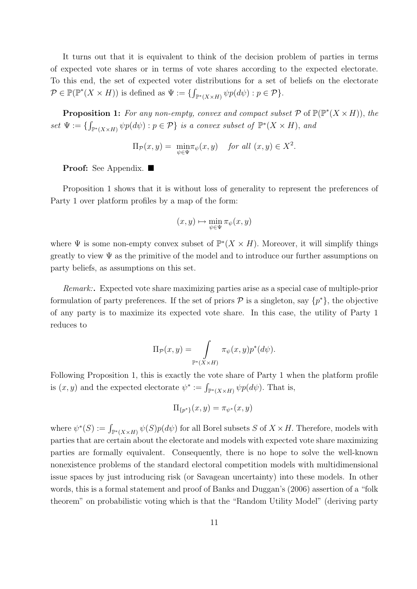It turns out that it is equivalent to think of the decision problem of parties in terms of expected vote shares or in terms of vote shares according to the expected electorate. To this end, the set of expected voter distributions for a set of beliefs on the electorate  $\mathcal{P} \in \mathbb{P}(\mathbb{P}^*(X \times H))$  is defined as  $\Psi := \{\int_{\mathbb{P}^*(X \times H)} \psi p(d\psi) : p \in \mathcal{P}\}.$ 

**Proposition 1:** For any non-empty, convex and compact subset  $\mathcal{P}$  of  $\mathbb{P}(\mathbb{P}^*(X \times H))$ , the set  $\Psi := \{\int_{\mathbb{P}^*(X \times H)} \psi p(d\psi) : p \in \mathcal{P}\}\$ is a convex subset of  $\mathbb{P}^*(X \times H)$ , and

$$
\Pi_{\mathcal{P}}(x,y) = \min_{\psi \in \Psi} \pi_{\psi}(x,y) \quad \text{for all } (x,y) \in X^2.
$$

#### Proof: See Appendix. ■

Proposition 1 shows that it is without loss of generality to represent the preferences of Party 1 over platform profiles by a map of the form:

$$
(x,y)\mapsto \min_{\psi\in\Psi} \pi_\psi(x,y)
$$

where  $\Psi$  is some non-empty convex subset of  $\mathbb{P}^*(X \times H)$ . Moreover, it will simplify things greatly to view  $\Psi$  as the primitive of the model and to introduce our further assumptions on party beliefs, as assumptions on this set.

Remark:. Expected vote share maximizing parties arise as a special case of multiple-prior formulation of party preferences. If the set of priors  $P$  is a singleton, say  $\{p^*\}$ , the objective of any party is to maximize its expected vote share. In this case, the utility of Party 1 reduces to

$$
\Pi_{\mathcal{P}}(x,y) = \int\limits_{\mathbb{P}^*(X \times H)} \pi_{\psi}(x,y) p^*(d\psi).
$$

Following Proposition 1, this is exactly the vote share of Party 1 when the platform profile is  $(x, y)$  and the expected electorate  $\psi^* := \int_{\mathbb{P}^*(X \times H)} \psi p(d\psi)$ . That is,

$$
\Pi_{\{p^*\}}(x,y) = \pi_{\psi^*}(x,y)
$$

where  $\psi^*(S) := \int_{\mathbb{P}^*(X \times H)} \psi(S) p(d\psi)$  for all Borel subsets S of  $X \times H$ . Therefore, models with parties that are certain about the electorate and models with expected vote share maximizing parties are formally equivalent. Consequently, there is no hope to solve the well-known nonexistence problems of the standard electoral competition models with multidimensional issue spaces by just introducing risk (or Savagean uncertainty) into these models. In other words, this is a formal statement and proof of Banks and Duggan's (2006) assertion of a "folk theorem" on probabilistic voting which is that the "Random Utility Model" (deriving party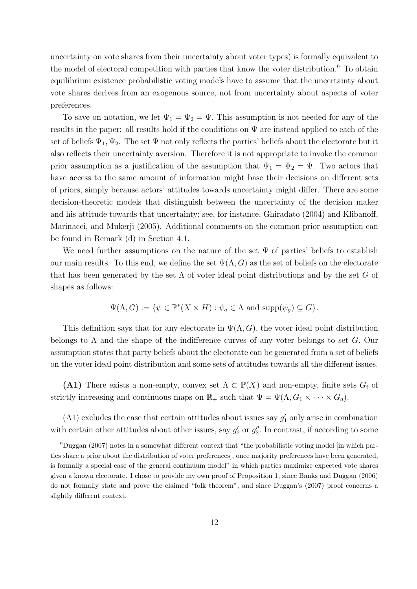uncertainty on vote shares from their uncertainty about voter types) is formally equivalent to the model of electoral competition with parties that know the voter distribution.<sup>9</sup> To obtain equilibrium existence probabilistic voting models have to assume that the uncertainty about vote shares derives from an exogenous source, not from uncertainty about aspects of voter preferences.

To save on notation, we let  $\Psi_1 = \Psi_2 = \Psi$ . This assumption is not needed for any of the results in the paper: all results hold if the conditions on  $\Psi$  are instead applied to each of the set of beliefs  $\Psi_1, \Psi_2$ . The set  $\Psi$  not only reflects the parties' beliefs about the electorate but it also reflects their uncertainty aversion. Therefore it is not appropriate to invoke the common prior assumption as a justification of the assumption that  $\Psi_1 = \Psi_2 = \Psi$ . Two actors that have access to the same amount of information might base their decisions on different sets of priors, simply because actors' attitudes towards uncertainty might differ. There are some decision-theoretic models that distinguish between the uncertainty of the decision maker and his attitude towards that uncertainty; see, for instance, Ghiradato (2004) and Klibanoff, Marinacci, and Mukerji (2005). Additional comments on the common prior assumption can be found in Remark (d) in Section 4.1.

We need further assumptions on the nature of the set  $\Psi$  of parties' beliefs to establish our main results. To this end, we define the set  $\Psi(\Lambda, G)$  as the set of beliefs on the electorate that has been generated by the set  $\Lambda$  of voter ideal point distributions and by the set G of shapes as follows:

$$
\Psi(\Lambda, G) := \{ \psi \in \mathbb{P}^*(X \times H) : \psi_a \in \Lambda \text{ and } \text{supp}(\psi_g) \subseteq G \}.
$$

This definition says that for any electorate in  $\Psi(\Lambda, G)$ , the voter ideal point distribution belongs to  $\Lambda$  and the shape of the indifference curves of any voter belongs to set G. Our assumption states that party beliefs about the electorate can be generated from a set of beliefs on the voter ideal point distribution and some sets of attitudes towards all the different issues.

(A1) There exists a non-empty, convex set  $\Lambda \subset \mathbb{P}(X)$  and non-empty, finite sets  $G_i$  of strictly increasing and continuous maps on  $\mathbb{R}_+$  such that  $\Psi = \Psi(\Lambda, G_1 \times \cdots \times G_d)$ .

(A1) excludes the case that certain attitudes about issues say  $g'_1$  only arise in combination with certain other attitudes about other issues, say  $g'_2$  or  $g''_2$ . In contrast, if according to some

 $^{9}$ Duggan (2007) notes in a somewhat different context that "the probabilistic voting model [in which parties share a prior about the distribution of voter preferences], once majority preferences have been generated, is formally a special case of the general continuum model" in which parties maximize expected vote shares given a known electorate. I chose to provide my own proof of Proposition 1, since Banks and Duggan (2006) do not formally state and prove the claimed "folk theorem", and since Duggan's (2007) proof concerns a slightly different context.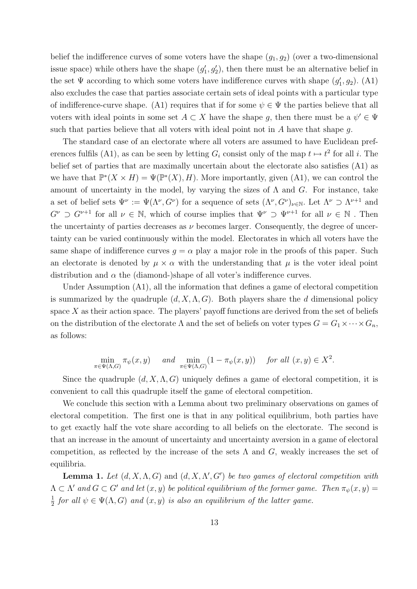belief the indifference curves of some voters have the shape  $(g_1, g_2)$  (over a two-dimensional issue space) while others have the shape  $(g'_1, g'_2)$ , then there must be an alternative belief in the set  $\Psi$  according to which some voters have indifference curves with shape  $(g'_1, g_2)$ . (A1) also excludes the case that parties associate certain sets of ideal points with a particular type of indifference-curve shape. (A1) requires that if for some  $\psi \in \Psi$  the parties believe that all voters with ideal points in some set  $A \subset X$  have the shape g, then there must be a  $\psi' \in \Psi$ such that parties believe that all voters with ideal point not in  $A$  have that shape  $q$ .

The standard case of an electorate where all voters are assumed to have Euclidean preferences fulfils (A1), as can be seen by letting  $G_i$  consist only of the map  $t \mapsto t^2$  for all i. The belief set of parties that are maximally uncertain about the electorate also satisfies (A1) as we have that  $\mathbb{P}^*(X \times H) = \Psi(\mathbb{P}^*(X), H)$ . More importantly, given (A1), we can control the amount of uncertainty in the model, by varying the sizes of  $\Lambda$  and  $G$ . For instance, take a set of belief sets  $\Psi^{\nu} := \Psi(\Lambda^{\nu}, G^{\nu})$  for a sequence of sets  $({\Lambda}^{\nu}, G^{\nu})_{\nu \in \mathbb{N}}$ . Let  $\Lambda^{\nu} \supset \Lambda^{\nu+1}$  and  $G^{\nu} \supset G^{\nu+1}$  for all  $\nu \in \mathbb{N}$ , which of course implies that  $\Psi^{\nu} \supset \Psi^{\nu+1}$  for all  $\nu \in \mathbb{N}$ . Then the uncertainty of parties decreases as  $\nu$  becomes larger. Consequently, the degree of uncertainty can be varied continuously within the model. Electorates in which all voters have the same shape of indifference curves  $q = \alpha$  play a major role in the proofs of this paper. Such an electorate is denoted by  $\mu \times \alpha$  with the understanding that  $\mu$  is the voter ideal point distribution and  $\alpha$  the (diamond-)shape of all voter's indifference curves.

Under Assumption (A1), all the information that defines a game of electoral competition is summarized by the quadruple  $(d, X, \Lambda, G)$ . Both players share the d dimensional policy space  $X$  as their action space. The players' payoff functions are derived from the set of beliefs on the distribution of the electorate  $\Lambda$  and the set of beliefs on voter types  $G = G_1 \times \cdots \times G_n$ , as follows:

$$
\min_{\pi \in \Psi(\Lambda, G)} \pi_{\psi}(x, y) \quad \text{and} \quad \min_{\pi \in \Psi(\Lambda, G)} (1 - \pi_{\psi}(x, y)) \quad \text{for all } (x, y) \in X^2.
$$

Since the quadruple  $(d, X, \Lambda, G)$  uniquely defines a game of electoral competition, it is convenient to call this quadruple itself the game of electoral competition.

We conclude this section with a Lemma about two preliminary observations on games of electoral competition. The first one is that in any political equilibrium, both parties have to get exactly half the vote share according to all beliefs on the electorate. The second is that an increase in the amount of uncertainty and uncertainty aversion in a game of electoral competition, as reflected by the increase of the sets  $\Lambda$  and  $G$ , weakly increases the set of equilibria.

**Lemma 1.** Let  $(d, X, \Lambda, G)$  and  $(d, X, \Lambda', G')$  be two games of electoral competition with  $\Lambda \subset \Lambda'$  and  $G \subset G'$  and let  $(x, y)$  be political equilibrium of the former game. Then  $\pi_{\psi}(x, y) =$ 1  $\frac{1}{2}$  for all  $\psi \in \Psi(\Lambda, G)$  and  $(x, y)$  is also an equilibrium of the latter game.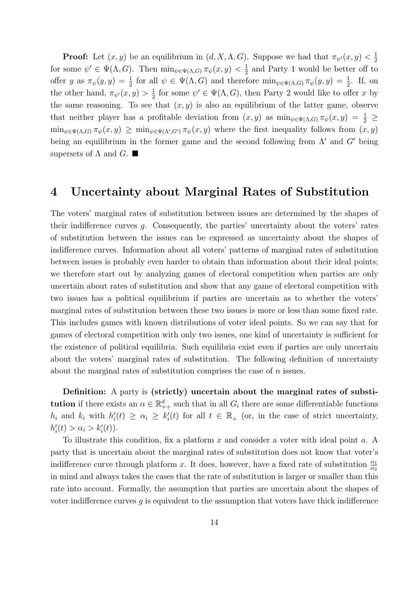**Proof:** Let  $(x, y)$  be an equilibrium in  $(d, X, \Lambda, G)$ . Suppose we had that  $\pi_{\psi}(x, y) < \frac{1}{2}$ 2 for some  $\psi' \in \Psi(\Lambda, G)$ . Then  $\min_{\psi \in \Psi(\Lambda, G)} \pi_{\psi}(x, y) < \frac{1}{2}$  $\frac{1}{2}$  and Party 1 would be better off to offer y as  $\pi_{\psi}(y, y) = \frac{1}{2}$  for all  $\psi \in \Psi(\Lambda, G)$  and therefore  $\min_{\psi \in \Psi(\Lambda, G)} \pi_{\psi}(y, y) = \frac{1}{2}$ . If, on the other hand,  $\pi_{\psi}(x, y) > \frac{1}{2}$  $\frac{1}{2}$  for some  $\psi' \in \Psi(\Lambda, G)$ , then Party 2 would like to offer x by the same reasoning. To see that  $(x, y)$  is also an equilibrium of the latter game, observe that neither player has a profitable deviation from  $(x, y)$  as  $\min_{\psi \in \Psi(\Lambda, G)} \pi_{\psi}(x, y) = \frac{1}{2} \geq$  $\min_{\psi \in \Psi(\Lambda, G)} \pi_{\psi}(x, y) \geq \min_{\psi \in \Psi(\Lambda', G')} \pi_{\psi}(x, y)$  where the first inequality follows from  $(x, y)$ being an equilibrium in the former game and the second following from  $\Lambda'$  and  $G'$  being supersets of  $\Lambda$  and  $G$ .

## 4 Uncertainty about Marginal Rates of Substitution

The voters' marginal rates of substitution between issues are determined by the shapes of their indifference curves  $q$ . Consequently, the parties' uncertainty about the voters' rates of substitution between the issues can be expressed as uncertainty about the shapes of indifference curves. Information about all voters' patterns of marginal rates of substitution between issues is probably even harder to obtain than information about their ideal points; we therefore start out by analyzing games of electoral competition when parties are only uncertain about rates of substitution and show that any game of electoral competition with two issues has a political equilibrium if parties are uncertain as to whether the voters' marginal rates of substitution between these two issues is more or less than some fixed rate. This includes games with known distributions of voter ideal points. So we can say that for games of electoral competition with only two issues, one kind of uncertainty is sufficient for the existence of political equilibria. Such equilibria exist even if parties are only uncertain about the voters' marginal rates of substitution. The following definition of uncertainty about the marginal rates of substitution comprises the case of  $n$  issues.

Definition: A party is (strictly) uncertain about the marginal rates of substitution if there exists an  $\alpha \in \mathbb{R}^d_{++}$  such that in all  $G_i$  there are some differentiable functions  $h_i$  and  $k_i$  with  $h'_i(t) \geq \alpha_i \geq k'_i(t)$  for all  $t \in \mathbb{R}_+$  (or, in the case of strict uncertainty,  $h'_i(t) > \alpha_i > k'_i(t)$ .

To illustrate this condition, fix a platform  $x$  and consider a voter with ideal point  $a$ . A party that is uncertain about the marginal rates of substitution does not know that voter's indifference curve through platform x. It does, however, have a fixed rate of substitution  $\frac{\alpha_1}{\alpha_2}$ in mind and always takes the cases that the rate of substitution is larger or smaller than this rate into account. Formally, the assumption that parties are uncertain about the shapes of voter indifference curves  $q$  is equivalent to the assumption that voters have thick indifference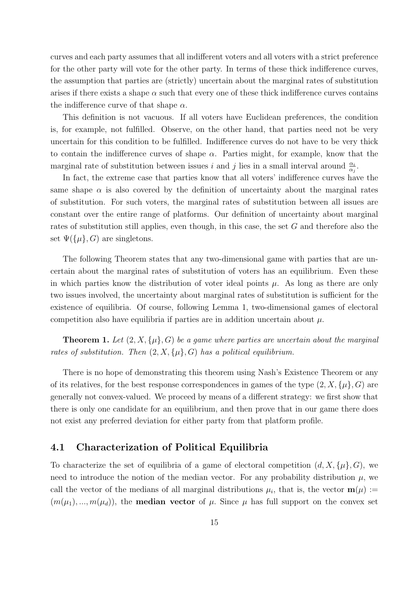curves and each party assumes that all indifferent voters and all voters with a strict preference for the other party will vote for the other party. In terms of these thick indifference curves, the assumption that parties are (strictly) uncertain about the marginal rates of substitution arises if there exists a shape  $\alpha$  such that every one of these thick indifference curves contains the indifference curve of that shape  $\alpha$ .

This definition is not vacuous. If all voters have Euclidean preferences, the condition is, for example, not fulfilled. Observe, on the other hand, that parties need not be very uncertain for this condition to be fulfilled. Indifference curves do not have to be very thick to contain the indifference curves of shape  $\alpha$ . Parties might, for example, know that the marginal rate of substitution between issues i and j lies in a small interval around  $\frac{\alpha_i}{\alpha_j}$ .

In fact, the extreme case that parties know that all voters' indifference curves have the same shape  $\alpha$  is also covered by the definition of uncertainty about the marginal rates of substitution. For such voters, the marginal rates of substitution between all issues are constant over the entire range of platforms. Our definition of uncertainty about marginal rates of substitution still applies, even though, in this case, the set G and therefore also the set  $\Psi({\mu}, G)$  are singletons.

The following Theorem states that any two-dimensional game with parties that are uncertain about the marginal rates of substitution of voters has an equilibrium. Even these in which parties know the distribution of voter ideal points  $\mu$ . As long as there are only two issues involved, the uncertainty about marginal rates of substitution is sufficient for the existence of equilibria. Of course, following Lemma 1, two-dimensional games of electoral competition also have equilibria if parties are in addition uncertain about  $\mu$ .

**Theorem 1.** Let  $(2, X, \{\mu\}, G)$  be a game where parties are uncertain about the marginal rates of substitution. Then  $(2, X, \{\mu\}, G)$  has a political equilibrium.

There is no hope of demonstrating this theorem using Nash's Existence Theorem or any of its relatives, for the best response correspondences in games of the type  $(2, X, {\mu}, G)$  are generally not convex-valued. We proceed by means of a different strategy: we first show that there is only one candidate for an equilibrium, and then prove that in our game there does not exist any preferred deviation for either party from that platform profile.

### 4.1 Characterization of Political Equilibria

To characterize the set of equilibria of a game of electoral competition  $(d, X, {\mu}, G)$ , we need to introduce the notion of the median vector. For any probability distribution  $\mu$ , we call the vector of the medians of all marginal distributions  $\mu_i$ , that is, the vector  $\mathbf{m}(\mu)$  :=  $(m(\mu_1), ..., m(\mu_d))$ , the **median vector** of  $\mu$ . Since  $\mu$  has full support on the convex set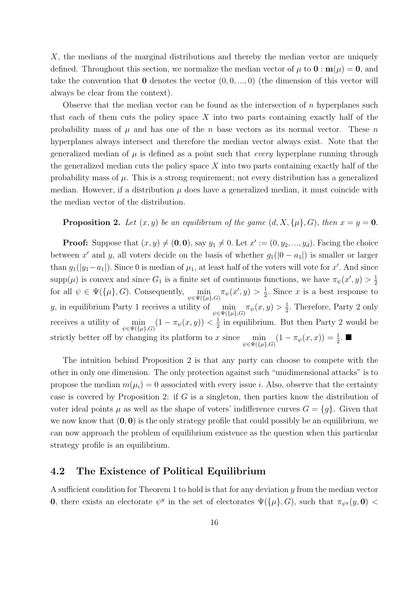X, the medians of the marginal distributions and thereby the median vector are uniquely defined. Throughout this section, we normalize the median vector of  $\mu$  to  $\mathbf{0} : \mathbf{m}(\mu) = \mathbf{0}$ , and take the convention that  $\bf{0}$  denotes the vector  $(0, 0, ..., 0)$  (the dimension of this vector will always be clear from the context).

Observe that the median vector can be found as the intersection of  $n$  hyperplanes such that each of them cuts the policy space  $X$  into two parts containing exactly half of the probability mass of  $\mu$  and has one of the n base vectors as its normal vector. These n hyperplanes always intersect and therefore the median vector always exist. Note that the generalized median of  $\mu$  is defined as a point such that *every* hyperplane running through the generalized median cuts the policy space  $X$  into two parts containing exactly half of the probability mass of  $\mu$ . This is a strong requirement; not every distribution has a generalized median. However, if a distribution  $\mu$  does have a generalized median, it must coincide with the median vector of the distribution.

**Proposition 2.** Let  $(x, y)$  be an equilibrium of the game  $(d, X, {\mu}, G)$ , then  $x = y = 0$ .

**Proof:** Suppose that  $(x, y) \neq (0, 0)$ , say  $y_1 \neq 0$ . Let  $x' := (0, y_2, ..., y_d)$ . Facing the choice between x' and y, all voters decide on the basis of whether  $g_1(|0 - a_1|)$  is smaller or larger than  $g_1(|y_1-a_1|)$ . Since 0 is median of  $\mu_1$ , at least half of the voters will vote for x'. And since supp $(\mu)$  is convex and since  $G_1$  is a finite set of continuous functions, we have  $\pi_{\psi}(x', y) > \frac{1}{2}$ 2 for all  $\psi \in \Psi(\{\mu\}, G)$ . Consequently,  $\min_{\psi \in \Psi(\{\mu\}, G)} \pi_{\psi}(x', y) > \frac{1}{2}$  $\frac{1}{2}$ . Since x is a best response to y, in equilibrium Party 1 receives a utility of  $\min_{\psi \in \Psi(\{\mu\}, G)} \pi_{\psi}(x, y) > \frac{1}{2}$  $\frac{1}{2}$ . Therefore, Party 2 only receives a utility of  $\min_{\psi \in \Psi(\{\mu\}, G)} (1 - \pi_{\psi}(x, y)) < \frac{1}{2}$  $\frac{1}{2}$  in equilibrium. But then Party 2 would be strictly better off by changing its platform to x since  $\min_{\psi \in \Psi(\{\mu\},G)} (1 - \pi_{\psi}(x,x)) = \frac{1}{2}$ .

The intuition behind Proposition 2 is that any party can choose to compete with the other in only one dimension. The only protection against such "unidimensional attacks" is to propose the median  $m(\mu_i) = 0$  associated with every issue *i*. Also, observe that the certainty case is covered by Proposition 2: if G is a singleton, then parties know the distribution of voter ideal points  $\mu$  as well as the shape of voters' indifference curves  $G = \{g\}$ . Given that we now know that  $(0, 0)$  is the only strategy profile that could possibly be an equilibrium, we can now approach the problem of equilibrium existence as the question when this particular strategy profile is an equilibrium.

### 4.2 The Existence of Political Equilibrium

A sufficient condition for Theorem 1 to hold is that for any deviation  $\eta$  from the median vector **0**, there exists an electorate  $\psi^y$  in the set of electorates  $\Psi(\{\mu\}, G)$ , such that  $\pi_{\psi^y}(y, 0)$  <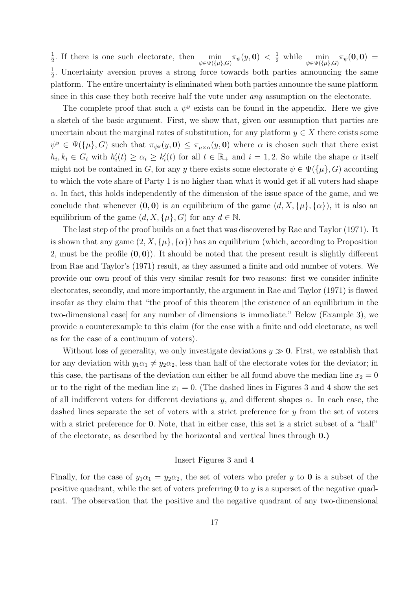1 <sup>1</sup>/<sub>2</sub>. If there is one such electorate, then  $\min_{\psi \in \Psi(\{\mu\}, G)} \pi_{\psi}(y, 0) < \frac{1}{2}$  while  $\min_{\psi \in \Psi(\{\mu\}, G)} \pi_{\psi}(0, 0)$  = 1  $\frac{1}{2}$ . Uncertainty aversion proves a strong force towards both parties announcing the same platform. The entire uncertainty is eliminated when both parties announce the same platform since in this case they both receive half the vote under any assumption on the electorate.

The complete proof that such a  $\psi^y$  exists can be found in the appendix. Here we give a sketch of the basic argument. First, we show that, given our assumption that parties are uncertain about the marginal rates of substitution, for any platform  $y \in X$  there exists some  $\psi^y \in \Psi(\{\mu\}, G)$  such that  $\pi_{\psi^y}(y, 0) \leq \pi_{\mu \times \alpha}(y, 0)$  where  $\alpha$  is chosen such that there exist  $h_i, k_i \in G_i$  with  $h'_i(t) \geq \alpha_i \geq k'_i(t)$  for all  $t \in \mathbb{R}_+$  and  $i = 1, 2$ . So while the shape  $\alpha$  itself might not be contained in G, for any y there exists some electorate  $\psi \in \Psi({\mu}, G)$  according to which the vote share of Party 1 is no higher than what it would get if all voters had shape  $\alpha$ . In fact, this holds independently of the dimension of the issue space of the game, and we conclude that whenever  $(0, 0)$  is an equilibrium of the game  $(d, X, {\mu}, {\alpha})$ , it is also an equilibrium of the game  $(d, X, \{\mu\}, G)$  for any  $d \in \mathbb{N}$ .

The last step of the proof builds on a fact that was discovered by Rae and Taylor (1971). It is shown that any game  $(2, X, \{\mu\}, \{\alpha\})$  has an equilibrium (which, according to Proposition 2, must be the profile  $(0, 0)$ . It should be noted that the present result is slightly different from Rae and Taylor's (1971) result, as they assumed a finite and odd number of voters. We provide our own proof of this very similar result for two reasons: first we consider infinite electorates, secondly, and more importantly, the argument in Rae and Taylor (1971) is flawed insofar as they claim that "the proof of this theorem [the existence of an equilibrium in the two-dimensional case] for any number of dimensions is immediate." Below (Example 3), we provide a counterexample to this claim (for the case with a finite and odd electorate, as well as for the case of a continuum of voters).

Without loss of generality, we only investigate deviations  $y \gg 0$ . First, we establish that for any deviation with  $y_1\alpha_1 \neq y_2\alpha_2$ , less than half of the electorate votes for the deviator; in this case, the partisans of the deviation can either be all found above the median line  $x_2 = 0$ or to the right of the median line  $x_1 = 0$ . (The dashed lines in Figures 3 and 4 show the set of all indifferent voters for different deviations y, and different shapes  $\alpha$ . In each case, the dashed lines separate the set of voters with a strict preference for y from the set of voters with a strict preference for **0**. Note, that in either case, this set is a strict subset of a "half" of the electorate, as described by the horizontal and vertical lines through 0.)

#### Insert Figures 3 and 4

Finally, for the case of  $y_1\alpha_1 = y_2\alpha_2$ , the set of voters who prefer y to **0** is a subset of the positive quadrant, while the set of voters preferring  $\bf{0}$  to  $y$  is a superset of the negative quadrant. The observation that the positive and the negative quadrant of any two-dimensional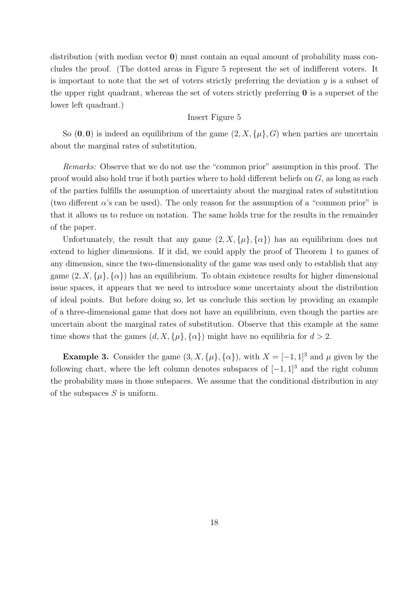distribution (with median vector **0**) must contain an equal amount of probability mass concludes the proof. (The dotted areas in Figure 5 represent the set of indifferent voters. It is important to note that the set of voters strictly preferring the deviation  $\gamma$  is a subset of the upper right quadrant, whereas the set of voters strictly preferring  $\bf{0}$  is a superset of the lower left quadrant.)

#### Insert Figure 5

So  $(0, 0)$  is indeed an equilibrium of the game  $(2, X, {\mu}, G)$  when parties are uncertain about the marginal rates of substitution.

Remarks: Observe that we do not use the "common prior" assumption in this proof. The proof would also hold true if both parties where to hold different beliefs on G, as long as each of the parties fulfills the assumption of uncertainty about the marginal rates of substitution (two different  $\alpha$ 's can be used). The only reason for the assumption of a "common prior" is that it allows us to reduce on notation. The same holds true for the results in the remainder of the paper.

Unfortunately, the result that any game  $(2, X, {\mu}, {\alpha})$  has an equilibrium does not extend to higher dimensions. If it did, we could apply the proof of Theorem 1 to games of any dimension, since the two-dimensionality of the game was used only to establish that any game  $(2, X, \{\mu\}, \{\alpha\})$  has an equilibrium. To obtain existence results for higher dimensional issue spaces, it appears that we need to introduce some uncertainty about the distribution of ideal points. But before doing so, let us conclude this section by providing an example of a three-dimensional game that does not have an equilibrium, even though the parties are uncertain about the marginal rates of substitution. Observe that this example at the same time shows that the games  $(d, X, \{\mu\}, \{\alpha\})$  might have no equilibria for  $d > 2$ .

**Example 3.** Consider the game  $(3, X, {\mu}, {\alpha})$ , with  $X = [-1, 1]^3$  and  $\mu$  given by the following chart, where the left column denotes subspaces of  $[-1, 1]^3$  and the right column the probability mass in those subspaces. We assume that the conditional distribution in any of the subspaces  $S$  is uniform.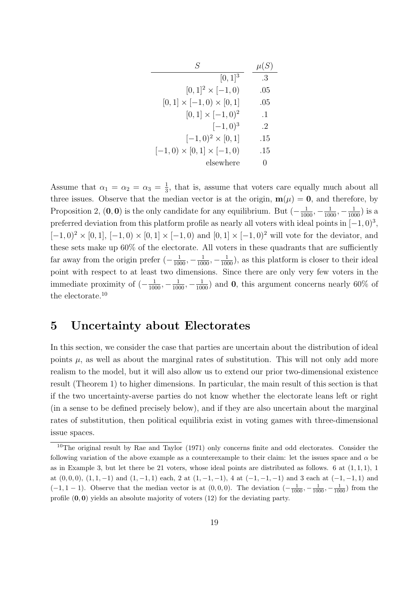| S                                   | $\mu(S)$  |
|-------------------------------------|-----------|
| $[0, 1]^{3}$                        | .3        |
| $[0,1]^2 \times [-1,0)$             | .05       |
| $[0,1] \times [-1,0] \times [0,1]$  | .05       |
| $[0,1] \times [-1,0)^2$             | $\cdot$ 1 |
| $[-1,0)^3$                          | .2        |
| $[-1,0)^2 \times [0,1]$             | .15       |
| $[-1,0) \times [0,1] \times [-1,0)$ | .15       |
| elsewhere                           | ∩         |

Assume that  $\alpha_1 = \alpha_2 = \alpha_3 = \frac{1}{3}$  $\frac{1}{3}$ , that is, assume that voters care equally much about all three issues. Observe that the median vector is at the origin,  $m(\mu) = 0$ , and therefore, by Proposition 2, (0, 0) is the only candidate for any equilibrium. But  $\left(-\frac{1}{1000}, -\frac{1}{1000}, -\frac{1}{1000}\right)$  is a preferred deviation from this platform profile as nearly all voters with ideal points in  $[-1, 0)^3$ ,  $[-1, 0]^2 \times [0, 1]$ ,  $[-1, 0] \times [0, 1] \times [-1, 0)$  and  $[0, 1] \times [-1, 0]^2$  will vote for the deviator, and these sets make up 60% of the electorate. All voters in these quadrants that are sufficiently far away from the origin prefer  $\left(-\frac{1}{1000}, -\frac{1}{1000}, -\frac{1}{1000}\right)$ , as this platform is closer to their ideal point with respect to at least two dimensions. Since there are only very few voters in the immediate proximity of  $\left(-\frac{1}{1000}, -\frac{1}{1000}, -\frac{1}{1000}\right)$  and **0**, this argument concerns nearly 60% of the electorate.<sup>10</sup>

## 5 Uncertainty about Electorates

In this section, we consider the case that parties are uncertain about the distribution of ideal points  $\mu$ , as well as about the marginal rates of substitution. This will not only add more realism to the model, but it will also allow us to extend our prior two-dimensional existence result (Theorem 1) to higher dimensions. In particular, the main result of this section is that if the two uncertainty-averse parties do not know whether the electorate leans left or right (in a sense to be defined precisely below), and if they are also uncertain about the marginal rates of substitution, then political equilibria exist in voting games with three-dimensional issue spaces.

<sup>10</sup>The original result by Rae and Taylor (1971) only concerns finite and odd electorates. Consider the following variation of the above example as a counterexample to their claim: let the issues space and  $\alpha$  be as in Example 3, but let there be 21 voters, whose ideal points are distributed as follows. 6 at  $(1,1,1)$ , 1 at  $(0, 0, 0)$ ,  $(1, 1, -1)$  and  $(1, -1, 1)$  each, 2 at  $(1, -1, -1)$ , 4 at  $(-1, -1, -1)$  and 3 each at  $(-1, -1, 1)$  and  $(-1, 1 - 1)$ . Observe that the median vector is at  $(0, 0, 0)$ . The deviation  $\left(-\frac{1}{1000}, -\frac{1}{1000}, -\frac{1}{1000}\right)$  from the profile (0, 0) yields an absolute majority of voters (12) for the deviating party.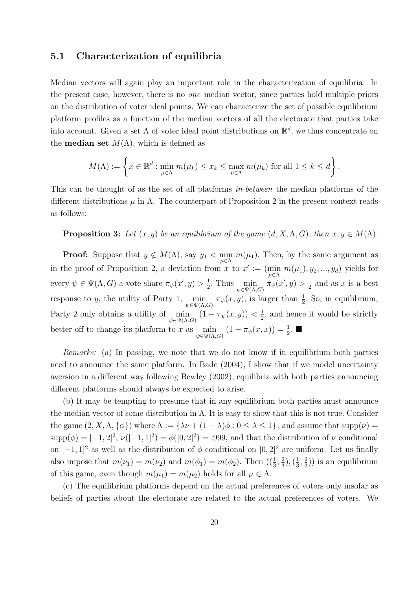### 5.1 Characterization of equilibria

Median vectors will again play an important role in the characterization of equilibria. In the present case, however, there is no one median vector, since parties hold multiple priors on the distribution of voter ideal points. We can characterize the set of possible equilibrium platform profiles as a function of the median vectors of all the electorate that parties take into account. Given a set  $\Lambda$  of voter ideal point distributions on  $\mathbb{R}^d$ , we thus concentrate on the **median set**  $M(\Lambda)$ , which is defined as

$$
M(\Lambda) := \left\{ x \in \mathbb{R}^d : \min_{\mu \in \Lambda} m(\mu_k) \le x_k \le \max_{\mu \in \Lambda} m(\mu_k) \text{ for all } 1 \le k \le d \right\}.
$$

This can be thought of as the set of all platforms in-between the median platforms of the different distributions  $\mu$  in  $\Lambda$ . The counterpart of Proposition 2 in the present context reads as follows:

**Proposition 3:** Let  $(x, y)$  be an equilibrium of the game  $(d, X, \Lambda, G)$ , then  $x, y \in M(\Lambda)$ .

**Proof:** Suppose that  $y \notin M(\Lambda)$ , say  $y_1 < \min_{\mu \in \Lambda} m(\mu_1)$ . Then, by the same argument as in the proof of Proposition 2, a deviation from  $x$  to  $x' := (\min_{\mu \in \Lambda} m(\mu_1), y_2, ..., y_d)$  yields for every  $\psi \in \Psi(\Lambda, G)$  a vote share  $\pi_{\psi}(x', y) > \frac{1}{2}$  $\frac{1}{2}$ . Thus  $\min_{\psi \in \Psi(\Lambda, G)} \pi_{\psi}(x', y) > \frac{1}{2}$  $\frac{1}{2}$  and as x is a best response to y, the utility of Party 1,  $\min_{\psi \in \Psi(\Lambda, G)} \pi_{\psi}(x, y)$ , is larger than  $\frac{1}{2}$ . So, in equilibrium, Party 2 only obtains a utility of  $\min_{\psi \in \Psi(\Lambda, G)} (1 - \pi_{\psi}(x, y)) < \frac{1}{2}$  $\frac{1}{2}$ , and hence it would be strictly better off to change its platform to x as  $\min_{\psi \in \Psi(\Lambda, G)} (1 - \pi_{\psi}(x, x)) = \frac{1}{2}$ .

Remarks: (a) In passing, we note that we do not know if in equilibrium both parties need to announce the same platform. In Bade (2004), I show that if we model uncertainty aversion in a different way following Bewley (2002), equilibria with both parties announcing different platforms should always be expected to arise.

(b) It may be tempting to presume that in any equilibrium both parties must announce the median vector of some distribution in  $\Lambda$ . It is easy to show that this is not true. Consider the game  $(2, X, \Lambda, \{\alpha\})$  where  $\Lambda := {\lambda \nu + (1 - \lambda)\phi : 0 \le \lambda \le 1}$ , and assume that supp $(\nu)$  $\text{supp}(\phi) = [-1, 2]^2$ ,  $\nu([-1, 1]^2) = \phi([0, 2]^2) = .999$ , and that the distribution of  $\nu$  conditional on  $[-1, 1]^2$  as well as the distribution of  $\phi$  conditional on  $[0, 2]^2$  are uniform. Let us finally also impose that  $m(\nu_1) = m(\nu_2)$  and  $m(\phi_1) = m(\phi_2)$ . Then  $\left(\left(\frac{1}{3}, \frac{2}{3}\right)\right)$  $(\frac{2}{3}), (\frac{1}{3})$  $\frac{1}{3}, \frac{2}{3}$  $(\frac{2}{3})$ ) is an equilibrium of this game, even though  $m(\mu_1) = m(\mu_2)$  holds for all  $\mu \in \Lambda$ .

(c) The equilibrium platforms depend on the actual preferences of voters only insofar as beliefs of parties about the electorate are related to the actual preferences of voters. We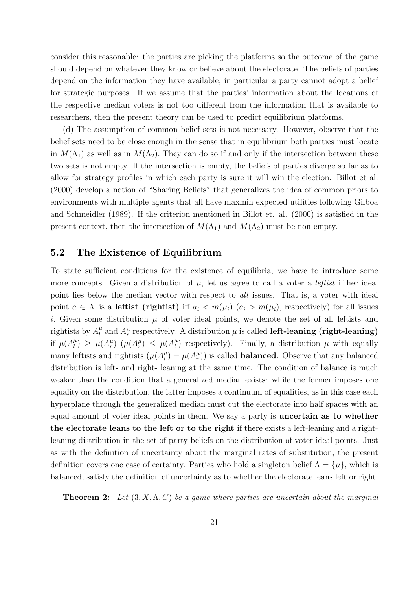consider this reasonable: the parties are picking the platforms so the outcome of the game should depend on whatever they know or believe about the electorate. The beliefs of parties depend on the information they have available; in particular a party cannot adopt a belief for strategic purposes. If we assume that the parties' information about the locations of the respective median voters is not too different from the information that is available to researchers, then the present theory can be used to predict equilibrium platforms.

(d) The assumption of common belief sets is not necessary. However, observe that the belief sets need to be close enough in the sense that in equilibrium both parties must locate in  $M(\Lambda_1)$  as well as in  $M(\Lambda_2)$ . They can do so if and only if the intersection between these two sets is not empty. If the intersection is empty, the beliefs of parties diverge so far as to allow for strategy profiles in which each party is sure it will win the election. Billot et al. (2000) develop a notion of "Sharing Beliefs" that generalizes the idea of common priors to environments with multiple agents that all have maxmin expected utilities following Gilboa and Schmeidler (1989). If the criterion mentioned in Billot et. al. (2000) is satisfied in the present context, then the intersection of  $M(\Lambda_1)$  and  $M(\Lambda_2)$  must be non-empty.

### 5.2 The Existence of Equilibrium

To state sufficient conditions for the existence of equilibria, we have to introduce some more concepts. Given a distribution of  $\mu$ , let us agree to call a voter a *leftist* if her ideal point lies below the median vector with respect to *all* issues. That is, a voter with ideal point  $a \in X$  is a leftist (rightist) iff  $a_i < m(\mu_i)$  ( $a_i > m(\mu_i)$ , respectively) for all issues i. Given some distribution  $\mu$  of voter ideal points, we denote the set of all leftists and rightists by  $A_l^{\mu}$  $l_l^{\mu}$  and  $A_r^{\mu}$  respectively. A distribution  $\mu$  is called **left-leaning** (right-leaning) if  $\mu(A_l^{\mu})$  $\mu_l^{\mu}$ )  $\geq \mu(A_r^{\mu}) \ (\mu(A_r^{\mu}) \leq \mu(A_l^{\mu})$  $\mu_l^{\mu}$ ) respectively). Finally, a distribution  $\mu$  with equally many leftists and rightists  $(\mu(A_l^{\mu}))$  $\mu_l^{\mu}$  =  $\mu(A_r^{\mu})$  is called **balanced**. Observe that any balanced distribution is left- and right- leaning at the same time. The condition of balance is much weaker than the condition that a generalized median exists: while the former imposes one equality on the distribution, the latter imposes a continuum of equalities, as in this case each hyperplane through the generalized median must cut the electorate into half spaces with an equal amount of voter ideal points in them. We say a party is uncertain as to whether the electorate leans to the left or to the right if there exists a left-leaning and a rightleaning distribution in the set of party beliefs on the distribution of voter ideal points. Just as with the definition of uncertainty about the marginal rates of substitution, the present definition covers one case of certainty. Parties who hold a singleton belief  $\Lambda = {\mu}$ , which is balanced, satisfy the definition of uncertainty as to whether the electorate leans left or right.

**Theorem 2:** Let  $(3, X, \Lambda, G)$  be a game where parties are uncertain about the marginal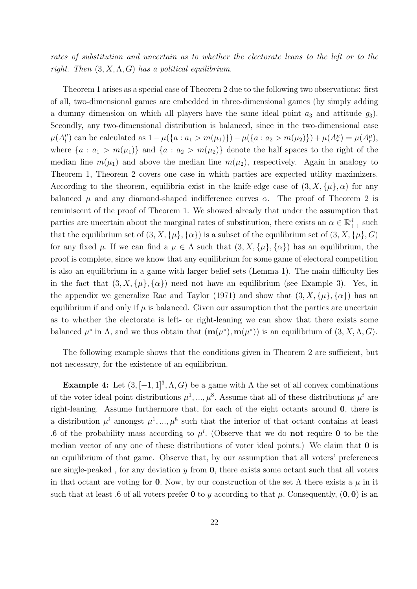rates of substitution and uncertain as to whether the electorate leans to the left or to the right. Then  $(3, X, \Lambda, G)$  has a political equilibrium.

Theorem 1 arises as a special case of Theorem 2 due to the following two observations: first of all, two-dimensional games are embedded in three-dimensional games (by simply adding a dummy dimension on which all players have the same ideal point  $a_3$  and attitude  $g_3$ ). Secondly, any two-dimensional distribution is balanced, since in the two-dimensional case  $\mu(A_l^{\mu}$  $\mu_l^{\mu}$  can be calculated as  $1 - \mu({a : a_1 > m(\mu_1)} - \mu({a : a_2 > m(\mu_2)}) + \mu(A_r^{\mu}) = \mu(A_r^{\mu}),$ where  $\{a : a_1 > m(\mu_1)\}\$  and  $\{a : a_2 > m(\mu_2)\}\$  denote the half spaces to the right of the median line  $m(\mu_1)$  and above the median line  $m(\mu_2)$ , respectively. Again in analogy to Theorem 1, Theorem 2 covers one case in which parties are expected utility maximizers. According to the theorem, equilibria exist in the knife-edge case of  $(3, X, {\mu}, \alpha)$  for any balanced  $\mu$  and any diamond-shaped indifference curves  $\alpha$ . The proof of Theorem 2 is reminiscent of the proof of Theorem 1. We showed already that under the assumption that parties are uncertain about the marginal rates of substitution, there exists an  $\alpha \in \mathbb{R}^d_{++}$  such that the equilibrium set of  $(3, X, \{\mu\}, \{\alpha\})$  is a subset of the equilibrium set of  $(3, X, \{\mu\}, G)$ for any fixed  $\mu$ . If we can find a  $\mu \in \Lambda$  such that  $(3, X, {\mu}, {\alpha})$  has an equilibrium, the proof is complete, since we know that any equilibrium for some game of electoral competition is also an equilibrium in a game with larger belief sets (Lemma 1). The main difficulty lies in the fact that  $(3, X, {\mu}, {\alpha})$  need not have an equilibrium (see Example 3). Yet, in the appendix we generalize Rae and Taylor (1971) and show that  $(3, X, {\mu}, {\alpha})$  has an equilibrium if and only if  $\mu$  is balanced. Given our assumption that the parties are uncertain as to whether the electorate is left- or right-leaning we can show that there exists some balanced  $\mu^*$  in  $\Lambda$ , and we thus obtain that  $(\mathbf{m}(\mu^*), \mathbf{m}(\mu^*))$  is an equilibrium of  $(3, X, \Lambda, G)$ .

The following example shows that the conditions given in Theorem 2 are sufficient, but not necessary, for the existence of an equilibrium.

**Example 4:** Let  $(3, [-1, 1]^3, \Lambda, G)$  be a game with  $\Lambda$  the set of all convex combinations of the voter ideal point distributions  $\mu^1, ..., \mu^8$ . Assume that all of these distributions  $\mu^i$  are right-leaning. Assume furthermore that, for each of the eight octants around 0, there is a distribution  $\mu^i$  amongst  $\mu^1, ..., \mu^8$  such that the interior of that octant contains at least .6 of the probability mass according to  $\mu^{i}$ . (Observe that we do **not** require **0** to be the median vector of any one of these distributions of voter ideal points.) We claim that 0 is an equilibrium of that game. Observe that, by our assumption that all voters' preferences are single-peaked, for any deviation  $y$  from  $\mathbf{0}$ , there exists some octant such that all voters in that octant are voting for 0. Now, by our construction of the set  $\Lambda$  there exists a  $\mu$  in it such that at least .6 of all voters prefer **0** to y according to that  $\mu$ . Consequently,  $(0, 0)$  is an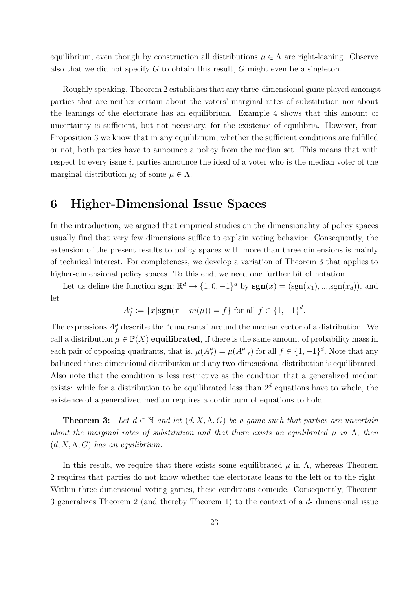equilibrium, even though by construction all distributions  $\mu \in \Lambda$  are right-leaning. Observe also that we did not specify  $G$  to obtain this result,  $G$  might even be a singleton.

Roughly speaking, Theorem 2 establishes that any three-dimensional game played amongst parties that are neither certain about the voters' marginal rates of substitution nor about the leanings of the electorate has an equilibrium. Example 4 shows that this amount of uncertainty is sufficient, but not necessary, for the existence of equilibria. However, from Proposition 3 we know that in any equilibrium, whether the sufficient conditions are fulfilled or not, both parties have to announce a policy from the median set. This means that with respect to every issue  $i$ , parties announce the ideal of a voter who is the median voter of the marginal distribution  $\mu_i$  of some  $\mu \in \Lambda$ .

# 6 Higher-Dimensional Issue Spaces

In the introduction, we argued that empirical studies on the dimensionality of policy spaces usually find that very few dimensions suffice to explain voting behavior. Consequently, the extension of the present results to policy spaces with more than three dimensions is mainly of technical interest. For completeness, we develop a variation of Theorem 3 that applies to higher-dimensional policy spaces. To this end, we need one further bit of notation.

Let us define the function sgn:  $\mathbb{R}^d \to \{1,0,-1\}^d$  by  $sgn(x) = (sgn(x_1),...,sgn(x_d))$ , and let

$$
A_f^{\mu} := \{x | \mathbf{sgn}(x - m(\mu)) = f\} \text{ for all } f \in \{1, -1\}^d.
$$

The expressions  $A^{\mu}_{f}$  $f \atop f$  describe the "quadrants" around the median vector of a distribution. We call a distribution  $\mu \in \mathbb{P}(X)$  equilibrated, if there is the same amount of probability mass in each pair of opposing quadrants, that is,  $\mu(A_f^{\mu})$  $f''_f$ ) =  $\mu(A^{\mu}_{-})$  $_{-f}^{\mu}$ ) for all  $f \in \{1, -1\}^d$ . Note that any balanced three-dimensional distribution and any two-dimensional distribution is equilibrated. Also note that the condition is less restrictive as the condition that a generalized median exists: while for a distribution to be equilibrated less than  $2<sup>d</sup>$  equations have to whole, the existence of a generalized median requires a continuum of equations to hold.

**Theorem 3:** Let  $d \in \mathbb{N}$  and let  $(d, X, \Lambda, G)$  be a game such that parties are uncertain about the marginal rates of substitution and that there exists an equilibrated  $\mu$  in  $\Lambda$ , then  $(d, X, \Lambda, G)$  has an equilibrium.

In this result, we require that there exists some equilibrated  $\mu$  in  $\Lambda$ , whereas Theorem 2 requires that parties do not know whether the electorate leans to the left or to the right. Within three-dimensional voting games, these conditions coincide. Consequently, Theorem 3 generalizes Theorem 2 (and thereby Theorem 1) to the context of a d- dimensional issue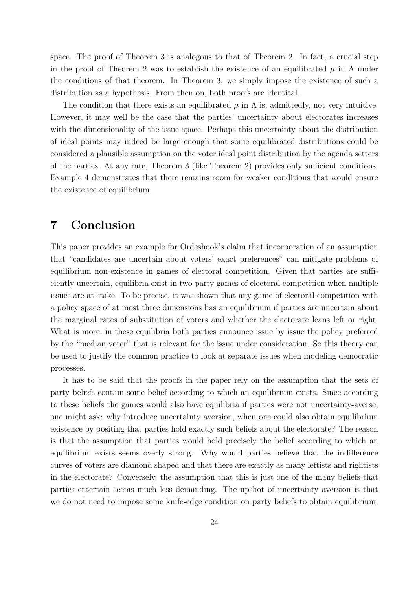space. The proof of Theorem 3 is analogous to that of Theorem 2. In fact, a crucial step in the proof of Theorem 2 was to establish the existence of an equilibrated  $\mu$  in  $\Lambda$  under the conditions of that theorem. In Theorem 3, we simply impose the existence of such a distribution as a hypothesis. From then on, both proofs are identical.

The condition that there exists an equilibrated  $\mu$  in  $\Lambda$  is, admittedly, not very intuitive. However, it may well be the case that the parties' uncertainty about electorates increases with the dimensionality of the issue space. Perhaps this uncertainty about the distribution of ideal points may indeed be large enough that some equilibrated distributions could be considered a plausible assumption on the voter ideal point distribution by the agenda setters of the parties. At any rate, Theorem 3 (like Theorem 2) provides only sufficient conditions. Example 4 demonstrates that there remains room for weaker conditions that would ensure the existence of equilibrium.

# 7 Conclusion

This paper provides an example for Ordeshook's claim that incorporation of an assumption that "candidates are uncertain about voters' exact preferences" can mitigate problems of equilibrium non-existence in games of electoral competition. Given that parties are sufficiently uncertain, equilibria exist in two-party games of electoral competition when multiple issues are at stake. To be precise, it was shown that any game of electoral competition with a policy space of at most three dimensions has an equilibrium if parties are uncertain about the marginal rates of substitution of voters and whether the electorate leans left or right. What is more, in these equilibria both parties announce issue by issue the policy preferred by the "median voter" that is relevant for the issue under consideration. So this theory can be used to justify the common practice to look at separate issues when modeling democratic processes.

It has to be said that the proofs in the paper rely on the assumption that the sets of party beliefs contain some belief according to which an equilibrium exists. Since according to these beliefs the games would also have equilibria if parties were not uncertainty-averse, one might ask: why introduce uncertainty aversion, when one could also obtain equilibrium existence by positing that parties hold exactly such beliefs about the electorate? The reason is that the assumption that parties would hold precisely the belief according to which an equilibrium exists seems overly strong. Why would parties believe that the indifference curves of voters are diamond shaped and that there are exactly as many leftists and rightists in the electorate? Conversely, the assumption that this is just one of the many beliefs that parties entertain seems much less demanding. The upshot of uncertainty aversion is that we do not need to impose some knife-edge condition on party beliefs to obtain equilibrium;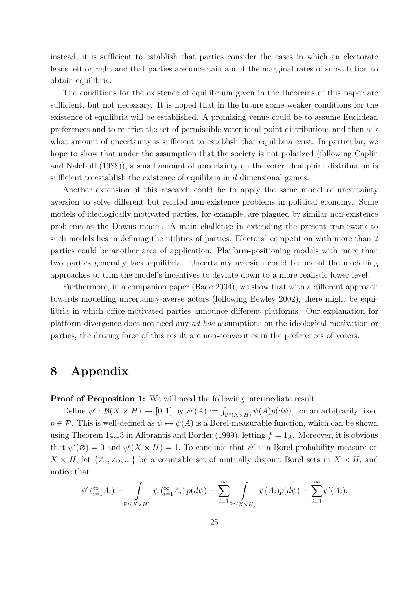instead, it is sufficient to establish that parties consider the cases in which an electorate leans left or right and that parties are uncertain about the marginal rates of substitution to obtain equilibria.

The conditions for the existence of equilibrium given in the theorems of this paper are sufficient, but not necessary. It is hoped that in the future some weaker conditions for the existence of equilibria will be established. A promising venue could be to assume Euclidean preferences and to restrict the set of permissible voter ideal point distributions and then ask what amount of uncertainty is sufficient to establish that equilibria exist. In particular, we hope to show that under the assumption that the society is not polarized (following Caplin and Nalebuff (1988)), a small amount of uncertainty on the voter ideal point distribution is sufficient to establish the existence of equilibria in d dimensional games.

Another extension of this research could be to apply the same model of uncertainty aversion to solve different but related non-existence problems in political economy. Some models of ideologically motivated parties, for example, are plagued by similar non-existence problems as the Downs model. A main challenge in extending the present framework to such models lies in defining the utilities of parties. Electoral competition with more than 2 parties could be another area of application. Platform-positioning models with more than two parties generally lack equilibria. Uncertainty aversion could be one of the modelling approaches to trim the model's incentives to deviate down to a more realistic lower level.

Furthermore, in a companion paper (Bade 2004), we show that with a different approach towards modelling uncertainty-averse actors (following Bewley 2002), there might be equilibria in which office-motivated parties announce different platforms. Our explanation for platform divergence does not need any ad hoc assumptions on the ideological motivation or parties; the driving force of this result are non-convexities in the preferences of voters.

## 8 Appendix

Proof of Proposition 1: We will need the following intermediate result.

Define  $\psi': \mathcal{B}(X \times H) \to [0,1]$  by  $\psi'(A) := \int_{\mathbb{P}^*(X \times H)} \psi(A)p(d\psi)$ , for an arbitrarily fixed  $p \in \mathcal{P}$ . This is well-defined as  $\psi \mapsto \psi(A)$  is a Borel-measurable function, which can be shown using Theorem 14.13 in Aliprantis and Border (1999), letting  $f = 1_A$ . Moreover, it is obvious that  $\psi'(\emptyset) = 0$  and  $\psi'(X \times H) = 1$ . To conclude that  $\psi'$  is a Borel probability measure on  $X \times H$ , let  $\{A_1, A_2, ...\}$  be a countable set of mutually disjoint Borel sets in  $X \times H$ , and notice that

$$
\psi'(\sum_{i=1}^{\infty} A_i) = \int_{\mathbb{P}^*(X \times H)} \psi(\sum_{i=1}^{\infty} A_i) p(d\psi) = \sum_{i=1}^{\infty} \int_{\mathbb{P}^*(X \times H)} \psi(A_i) p(d\psi) = \sum_{i=1}^{\infty} \psi'(A_i).
$$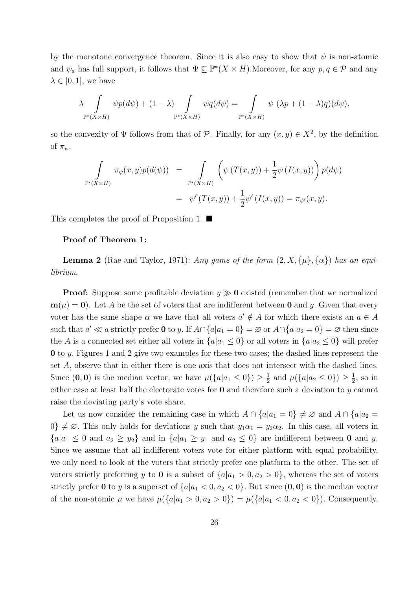by the monotone convergence theorem. Since it is also easy to show that  $\psi$  is non-atomic and  $\psi_a$  has full support, it follows that  $\Psi \subseteq \mathbb{P}^*(X \times H)$ . Moreover, for any  $p, q \in \mathcal{P}$  and any  $\lambda \in [0, 1]$ , we have

$$
\lambda \int_{\mathbb{P}^*(X \times H)} \psi p(d\psi) + (1 - \lambda) \int_{\mathbb{P}^*(X \times H)} \psi q(d\psi) = \int_{\mathbb{P}^*(X \times H)} \psi \, (\lambda p + (1 - \lambda) q)(d\psi),
$$

so the convexity of  $\Psi$  follows from that of  $P$ . Finally, for any  $(x, y) \in X^2$ , by the definition of  $\pi_{\psi}$ ,

$$
\int_{\mathbb{P}^*(X \times H)} \pi_{\psi}(x, y) p(d(\psi)) = \int_{\mathbb{P}^*(X \times H)} \left( \psi(T(x, y)) + \frac{1}{2} \psi(I(x, y)) \right) p(d\psi)
$$

$$
= \psi'(T(x, y)) + \frac{1}{2} \psi'(I(x, y)) = \pi_{\psi'}(x, y).
$$

This completes the proof of Proposition 1.

#### Proof of Theorem 1:

**Lemma 2** (Rae and Taylor, 1971): Any game of the form  $(2, X, {\mu}, {\alpha})$  has an equilibrium.

**Proof:** Suppose some profitable deviation  $y \ge 0$  existed (remember that we normalized  $m(\mu) = 0$ ). Let A be the set of voters that are indifferent between 0 and y. Given that every voter has the same shape  $\alpha$  we have that all voters  $a' \notin A$  for which there exists an  $a \in A$ such that  $a' \ll a$  strictly prefer **0** to y. If  $A \cap \{a|a_1 = 0\} = \emptyset$  or  $A \cap \{a|a_2 = 0\} = \emptyset$  then since the A is a connected set either all voters in  $\{a|a_1 \leq 0\}$  or all voters in  $\{a|a_2 \leq 0\}$  will prefer 0 to y. Figures 1 and 2 give two examples for these two cases; the dashed lines represent the set A, observe that in either there is one axis that does not intersect with the dashed lines. Since  $(0,0)$  is the median vector, we have  $\mu({a|a_1 \le 0}) \ge \frac{1}{2}$  $\frac{1}{2}$  and  $\mu({a | a_2 \le 0}) \ge \frac{1}{2}$  $\frac{1}{2}$ , so in either case at least half the electorate votes for  $\bf{0}$  and therefore such a deviation to  $y$  cannot raise the deviating party's vote share.

Let us now consider the remaining case in which  $A \cap \{a|a_1 = 0\} \neq \emptyset$  and  $A \cap \{a|a_2 = 0\}$  $0\} \neq \emptyset$ . This only holds for deviations y such that  $y_1\alpha_1 = y_2\alpha_2$ . In this case, all voters in  ${a|a_1 \leq 0}$  and  $a_2 \geq y_2$  and in  ${a|a_1 \geq y_1}$  and  $a_2 \leq 0$  are indifferent between **0** and y. Since we assume that all indifferent voters vote for either platform with equal probability, we only need to look at the voters that strictly prefer one platform to the other. The set of voters strictly preferring y to 0 is a subset of  $\{a|a_1 > 0, a_2 > 0\}$ , whereas the set of voters strictly prefer 0 to y is a superset of  $\{a|a_1 < 0, a_2 < 0\}$ . But since  $(0, 0)$  is the median vector of the non-atomic  $\mu$  we have  $\mu({a|a_1 > 0, a_2 > 0}) = \mu({a|a_1 < 0, a_2 < 0})$ . Consequently,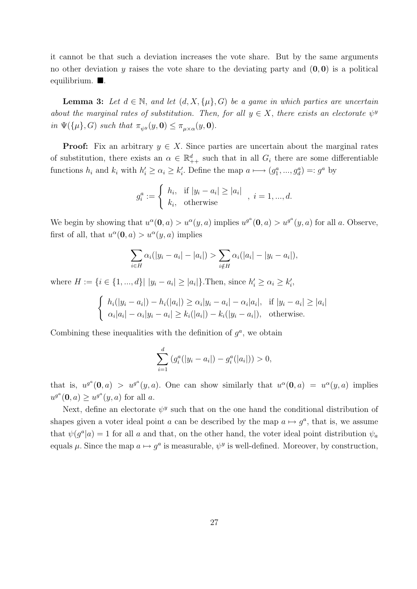it cannot be that such a deviation increases the vote share. But by the same arguments no other deviation y raises the vote share to the deviating party and  $(0, 0)$  is a political equilibrium.  $\blacksquare$ .

**Lemma 3:** Let  $d \in \mathbb{N}$ , and let  $(d, X, \{\mu\}, G)$  be a game in which parties are uncertain about the marginal rates of substitution. Then, for all  $y \in X$ , there exists an electorate  $\psi^y$ in  $\Psi(\{\mu\}, G)$  such that  $\pi_{\psi^y}(y, \mathbf{0}) \leq \pi_{\mu \times \alpha}(y, \mathbf{0}).$ 

**Proof:** Fix an arbitrary  $y \in X$ . Since parties are uncertain about the marginal rates of substitution, there exists an  $\alpha \in \mathbb{R}^d_{++}$  such that in all  $G_i$  there are some differentiable functions  $h_i$  and  $k_i$  with  $h'_i \geq \alpha_i \geq k'_i$ . Define the map  $a \longmapsto (g_1^a, ..., g_d^a) =: g^a$  by

$$
g_i^a := \begin{cases} h_i, & \text{if } |y_i - a_i| \ge |a_i| \\ k_i, & \text{otherwise} \end{cases}, i = 1, ..., d.
$$

We begin by showing that  $u^{\alpha}(\mathbf{0}, a) > u^{\alpha}(y, a)$  implies  $u^{g^a}(\mathbf{0}, a) > u^{g^a}(y, a)$  for all a. Observe, first of all, that  $u^{\alpha}(\mathbf{0},a) > u^{\alpha}(y,a)$  implies

$$
\sum_{i \in H} \alpha_i (|y_i - a_i| - |a_i|) > \sum_{i \notin H} \alpha_i (|a_i| - |y_i - a_i|),
$$

where  $H := \{i \in \{1, ..., d\} | |y_i - a_i| \ge |a_i|\}.$  Then, since  $h'_i \ge \alpha_i \ge k'_i$ ,

$$
\begin{cases} h_i(|y_i - a_i|) - h_i(|a_i|) \ge \alpha_i |y_i - a_i| - \alpha_i |a_i|, & \text{if } |y_i - a_i| \ge |a_i| \\ \alpha_i |a_i| - \alpha_i |y_i - a_i| \ge k_i(|a_i|) - k_i(|y_i - a_i|), & \text{otherwise.} \end{cases}
$$

Combining these inequalities with the definition of  $g^a$ , we obtain

$$
\sum_{i=1}^{d} (g_i^a(|y_i - a_i|) - g_i^a(|a_i|)) > 0,
$$

that is,  $u^{g^a}(\mathbf{0},a) > u^{g^a}(y,a)$ . One can show similarly that  $u^{\alpha}(\mathbf{0},a) = u^{\alpha}(y,a)$  implies  $u^{g^a}(\mathbf{0}, a) \geq u^{g^a}(y, a)$  for all a.

Next, define an electorate  $\psi^y$  such that on the one hand the conditional distribution of shapes given a voter ideal point a can be described by the map  $a \mapsto g^a$ , that is, we assume that  $\psi(g^a|a) = 1$  for all a and that, on the other hand, the voter ideal point distribution  $\psi_a$ equals  $\mu$ . Since the map  $a \mapsto g^a$  is measurable,  $\psi^y$  is well-defined. Moreover, by construction,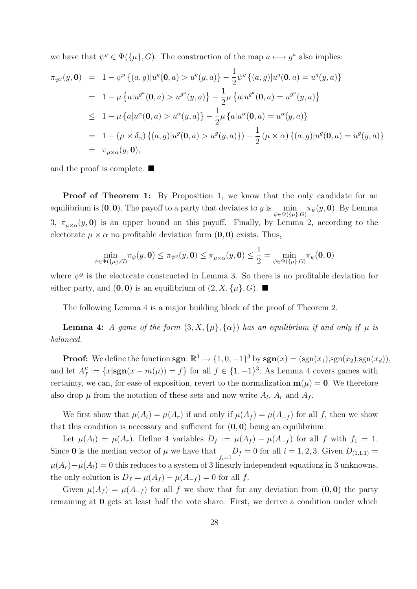we have that  $\psi^y \in \Psi({\{\mu\}}, G)$ . The construction of the map  $a \mapsto g^a$  also implies:

$$
\pi_{\psi^{y}}(y, \mathbf{0}) = 1 - \psi^{y} \{ (a, g) | u^{g}(\mathbf{0}, a) > u^{g}(y, a) \} - \frac{1}{2} \psi^{y} \{ (a, g) | u^{g}(\mathbf{0}, a) = u^{g}(y, a) \}
$$
  
\n
$$
= 1 - \mu \{ a | u^{g^{a}}(\mathbf{0}, a) > u^{g^{a}}(y, a) \} - \frac{1}{2} \mu \{ a | u^{g^{a}}(\mathbf{0}, a) = u^{g^{a}}(y, a) \}
$$
  
\n
$$
\leq 1 - \mu \{ a | u^{\alpha}(\mathbf{0}, a) > u^{\alpha}(y, a) \} - \frac{1}{2} \mu \{ a | u^{\alpha}(\mathbf{0}, a) = u^{\alpha}(y, a) \}
$$
  
\n
$$
= 1 - (\mu \times \delta_{\alpha}) \{ (a, g) | u^{g}(\mathbf{0}, a) > u^{g}(y, a) \} - \frac{1}{2} (\mu \times \alpha) \{ (a, g) | u^{g}(\mathbf{0}, a) = u^{g}(y, a) \}
$$
  
\n
$$
= \pi_{\mu \times \alpha}(y, \mathbf{0}),
$$

and the proof is complete.

Proof of Theorem 1: By Proposition 1, we know that the only candidate for an equilibrium is (0, 0). The payoff to a party that deviates to y is  $\min_{\psi \in \Psi(\{\mu\}, G)} \pi_{\psi}(y, 0)$ . By Lemma 3,  $\pi_{\mu \times \alpha}(y, 0)$  is an upper bound on this payoff. Finally, by Lemma 2, according to the electorate  $\mu \times \alpha$  no profitable deviation form  $(0, 0)$  exists. Thus,

$$
\min_{\psi \in \Psi(\{\mu\}, G)} \pi_{\psi}(y, \mathbf{0}) \leq \pi_{\psi^y}(y, \mathbf{0}) \leq \pi_{\mu \times \alpha}(y, \mathbf{0}) \leq \frac{1}{2} = \min_{\psi \in \Psi(\{\mu\}, G)} \pi_{\psi}(\mathbf{0}, \mathbf{0})
$$

where  $\psi^y$  is the electorate constructed in Lemma 3. So there is no profitable deviation for either party, and  $(0, 0)$  is an equilibrium of  $(2, X, {\mu}, G)$ .

The following Lemma 4 is a major building block of the proof of Theorem 2.

**Lemma 4:** A game of the form  $(3, X, \{\mu\}, \{\alpha\})$  has an equilibrium if and only if  $\mu$  is balanced.

**Proof:** We define the function  $\textbf{sgn} : \mathbb{R}^3 \to \{1, 0, -1\}^3$  by  $\textbf{sgn}(x) = (\text{sgn}(x_1), \text{sgn}(x_2), \text{sgn}(x_d)),$ and let  $A_f^{\mu}$  $f'_{f} := \{x | \textbf{sgn}(x - m(\mu)) = f\}$  for all  $f \in \{1, -1\}^3$ . As Lemma 4 covers games with certainty, we can, for ease of exposition, revert to the normalization  $\mathbf{m}(\mu) = \mathbf{0}$ . We therefore also drop  $\mu$  from the notation of these sets and now write  $A_l$ ,  $A_r$  and  $A_f$ .

We first show that  $\mu(A_l) = \mu(A_r)$  if and only if  $\mu(A_f) = \mu(A_{-f})$  for all f, then we show that this condition is necessary and sufficient for  $(0, 0)$  being an equilibrium.

Let  $\mu(A_l) = \mu(A_r)$ . Define 4 variables  $D_f := \mu(A_f) - \mu(A_{-f})$  for all f with  $f_1 = 1$ . Since **0** is the median vector of  $\mu$  we have that  $D_f = 0$  for all  $i = 1, 2, 3$ . Given  $D_{(1,1,1)} =$  $\mu(A_r) - \mu(A_l) = 0$  this reduces to a system of 3 linearly independent equations in 3 unknowns, the only solution is  $D_f = \mu(A_f) - \mu(A_{-f}) = 0$  for all f.

Given  $\mu(A_f) = \mu(A_{-f})$  for all f we show that for any deviation from  $(0,0)$  the party remaining at 0 gets at least half the vote share. First, we derive a condition under which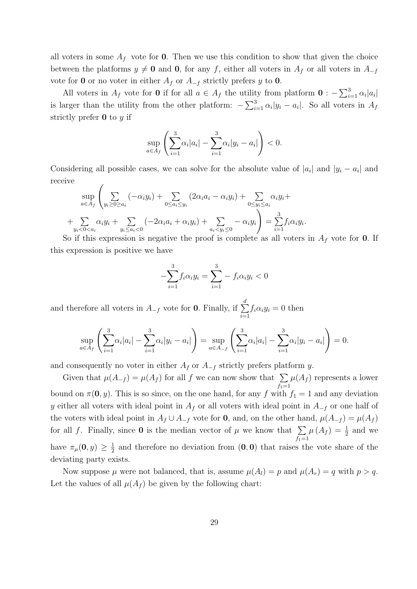all voters in some  $A_f$  vote for 0. Then we use this condition to show that given the choice between the platforms  $y \neq 0$  and 0, for any f, either all voters in  $A_f$  or all voters in  $A_{-f}$ vote for 0 or no voter in either  $A_f$  or  $A_{-f}$  strictly prefers y to 0.

All voters in  $A_f$  vote for **0** if for all  $a \in A_f$  the utility from platform  $\mathbf{0}: -\sum_{i=1}^3 \alpha_i |a_i|$ is larger than the utility from the other platform:  $-\sum_{i=1}^{3} \alpha_i |y_i - a_i|$ . So all voters in  $A_f$ strictly prefer  $\mathbf 0$  to  $y$  if

$$
\sup_{a \in A_f} \left( \sum_{i=1}^3 \alpha_i |a_i| - \sum_{i=1}^3 \alpha_i |y_i - a_i| \right) < 0.
$$

Considering all possible cases, we can solve for the absolute value of  $|a_i|$  and  $|y_i - a_i|$  and receive  $\overline{1}$ 

$$
\sup_{a \in A_f} \left( \sum_{y_i \ge 0 \ge a_i} (-\alpha_i y_i) + \sum_{0 \le a_i \le y_i} (2\alpha_i a_i - \alpha_i y_i) + \sum_{0 \le y_i \le a_i} \alpha_i y_i + \sum_{y_i < 0 < a_i} \alpha_i y_i + \sum_{y_i < 0 < a_i} (-2\alpha_i a_i + \alpha_i y_i) + \sum_{a_i < y_i \le 0} -\alpha_i y_i \right) = \sum_{i=1}^3 f_i \alpha_i y_i.
$$

So if this expression is negative the proof is complete as all voters in  $A_f$  vote for 0. If this expression is positive we have

$$
-\sum_{i=1}^{3} f_i \alpha_i y_i = \sum_{i=1}^{3} -f_i \alpha_i y_i < 0
$$

and therefore all voters in  $A_{-f}$  vote for 0. Finally, if  $\sum_{i=1}^{d} A_{-i}$  $i=1$  $f_i \alpha_i y_i = 0$  then

$$
\sup_{a \in A_f} \left( \sum_{i=1}^3 \alpha_i |a_i| - \sum_{i=1}^3 \alpha_i |y_i - a_i| \right) = \sup_{a \in A_{-f}} \left( \sum_{i=1}^3 \alpha_i |a_i| - \sum_{i=1}^3 \alpha_i |y_i - a_i| \right) = 0.
$$

and consequently no voter in either  $A_f$  or  $A_{-f}$  strictly prefers platform y.

Given that  $\mu(A_{-f}) = \mu(A_f)$  for all f we can now show that  $\sum$  $f_1 = 1$  $\mu(A_f)$  represents a lower bound on  $\pi(0, y)$ . This is so since, on the one hand, for any f with  $f_1 = 1$  and any deviation y either all voters with ideal point in  $A_f$  or all voters with ideal point in  $A_{-f}$  or one half of the voters with ideal point in  $A_f \cup A_{-f}$  vote for 0, and, on the other hand,  $\mu(A_{-f}) = \mu(A_f)$ for all f. Finally, since **0** is the median vector of  $\mu$  we know that  $\Sigma$  $f_1 = 1$  $\mu\left(A_{f}\right) = \frac{1}{2}$  and we have  $\pi_{\mu}(\mathbf{0},y) \geq \frac{1}{2}$  $\frac{1}{2}$  and therefore no deviation from  $(0,0)$  that raises the vote share of the deviating party exists.

Now suppose  $\mu$  were not balanced, that is, assume  $\mu(A_l) = p$  and  $\mu(A_r) = q$  with  $p > q$ . Let the values of all  $\mu(A_f)$  be given by the following chart: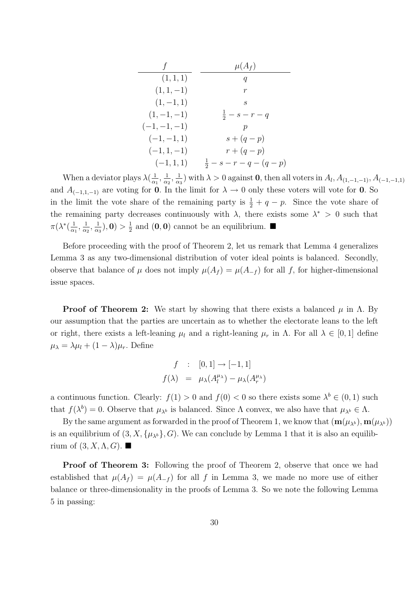|               | $\mu(A_f)$                        |
|---------------|-----------------------------------|
| (1, 1, 1)     | q                                 |
| $(1, 1, -1)$  | r                                 |
| $(1, -1, 1)$  | $\mathcal{S}_{0}$                 |
| $(1,-1,-1)$   | $rac{1}{2} - s - r - q$           |
| $(-1,-1,-1)$  | $\mathcal{D}$                     |
| $(-1,-1,1)$   | $s + (q - p)$                     |
| $(-1, 1, -1)$ | $r+(q-p)$                         |
| $(-1, 1, 1)$  | $rac{1}{2} - s - r - q - (q - p)$ |

When a deviator plays  $\lambda(\frac{1}{\alpha})$  $\frac{1}{\alpha_1}, \frac{1}{\alpha_2}$  $\frac{1}{\alpha_2}, \frac{1}{\alpha_3}$  $\frac{1}{\alpha_3}$ ) with  $\lambda > 0$  against **0**, then all voters in  $A_l$ ,  $A_{(1,-1,-1)}$ ,  $A_{(-1,-1,1)}$ and  $A_{(-1,1,-1)}$  are voting for 0. In the limit for  $\lambda \to 0$  only these voters will vote for 0. So in the limit the vote share of the remaining party is  $\frac{1}{2} + q - p$ . Since the vote share of the remaining party decreases continuously with  $\lambda$ , there exists some  $\lambda^* > 0$  such that  $\pi(\lambda^*(\frac{1}{\alpha}))$  $\frac{1}{\alpha_1}, \frac{1}{\alpha_2}$  $\frac{1}{\alpha_2}, \frac{1}{\alpha_3}$  $(\frac{1}{\alpha_3}), 0) > \frac{1}{2}$  $\frac{1}{2}$  and  $(0,0)$  cannot be an equilibrium.

Before proceeding with the proof of Theorem 2, let us remark that Lemma 4 generalizes Lemma 3 as any two-dimensional distribution of voter ideal points is balanced. Secondly, observe that balance of  $\mu$  does not imply  $\mu(A_f) = \mu(A_{-f})$  for all f, for higher-dimensional issue spaces.

**Proof of Theorem 2:** We start by showing that there exists a balanced  $\mu$  in  $\Lambda$ . By our assumption that the parties are uncertain as to whether the electorate leans to the left or right, there exists a left-leaning  $\mu_l$  and a right-leaning  $\mu_r$  in  $\Lambda$ . For all  $\lambda \in [0,1]$  define  $\mu_{\lambda} = \lambda \mu_l + (1 - \lambda) \mu_r$ . Define

$$
f : [0,1] \rightarrow [-1,1]
$$

$$
f(\lambda) = \mu_{\lambda}(A_l^{\mu_{\lambda}}) - \mu_{\lambda}(A_r^{\mu_{\lambda}})
$$

a continuous function. Clearly:  $f(1) > 0$  and  $f(0) < 0$  so there exists some  $\lambda^b \in (0, 1)$  such that  $f(\lambda^b) = 0$ . Observe that  $\mu_{\lambda^b}$  is balanced. Since  $\Lambda$  convex, we also have that  $\mu_{\lambda^b} \in \Lambda$ .

By the same argument as forwarded in the proof of Theorem 1, we know that  $(m(\mu_{\lambda^b}), m(\mu_{\lambda^b}))$ is an equilibrium of  $(3, X, {\mu_{\lambda^b}}), G$ . We can conclude by Lemma 1 that it is also an equilibrium of  $(3, X, \Lambda, G)$ .

**Proof of Theorem 3:** Following the proof of Theorem 2, observe that once we had established that  $\mu(A_f) = \mu(A_{-f})$  for all f in Lemma 3, we made no more use of either balance or three-dimensionality in the proofs of Lemma 3. So we note the following Lemma 5 in passing: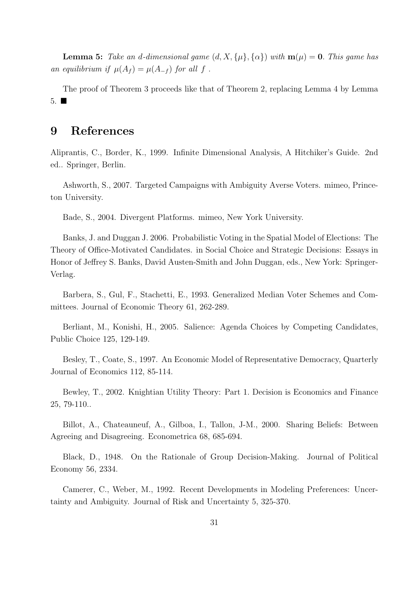**Lemma 5:** Take an d-dimensional game  $(d, X, \{\mu\}, \{\alpha\})$  with  $m(\mu) = 0$ . This game has an equilibrium if  $\mu(A_f) = \mu(A_{-f})$  for all f.

The proof of Theorem 3 proceeds like that of Theorem 2, replacing Lemma 4 by Lemma 5.

# 9 References

Aliprantis, C., Border, K., 1999. Infinite Dimensional Analysis, A Hitchiker's Guide. 2nd ed.. Springer, Berlin.

Ashworth, S., 2007. Targeted Campaigns with Ambiguity Averse Voters. mimeo, Princeton University.

Bade, S., 2004. Divergent Platforms. mimeo, New York University.

Banks, J. and Duggan J. 2006. Probabilistic Voting in the Spatial Model of Elections: The Theory of Office-Motivated Candidates. in Social Choice and Strategic Decisions: Essays in Honor of Jeffrey S. Banks, David Austen-Smith and John Duggan, eds., New York: Springer-Verlag.

Barbera, S., Gul, F., Stachetti, E., 1993. Generalized Median Voter Schemes and Committees. Journal of Economic Theory 61, 262-289.

Berliant, M., Konishi, H., 2005. Salience: Agenda Choices by Competing Candidates, Public Choice 125, 129-149.

Besley, T., Coate, S., 1997. An Economic Model of Representative Democracy, Quarterly Journal of Economics 112, 85-114.

Bewley, T., 2002. Knightian Utility Theory: Part 1. Decision is Economics and Finance 25, 79-110..

Billot, A., Chateauneuf, A., Gilboa, I., Tallon, J-M., 2000. Sharing Beliefs: Between Agreeing and Disagreeing. Econometrica 68, 685-694.

Black, D., 1948. On the Rationale of Group Decision-Making. Journal of Political Economy 56, 2334.

Camerer, C., Weber, M., 1992. Recent Developments in Modeling Preferences: Uncertainty and Ambiguity. Journal of Risk and Uncertainty 5, 325-370.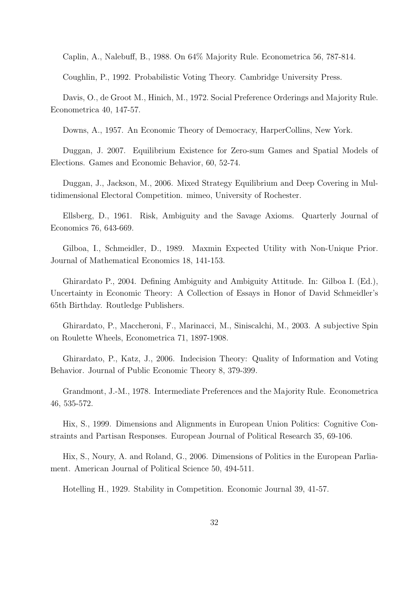Caplin, A., Nalebuff, B., 1988. On 64% Majority Rule. Econometrica 56, 787-814.

Coughlin, P., 1992. Probabilistic Voting Theory. Cambridge University Press.

Davis, O., de Groot M., Hinich, M., 1972. Social Preference Orderings and Majority Rule. Econometrica 40, 147-57.

Downs, A., 1957. An Economic Theory of Democracy, HarperCollins, New York.

Duggan, J. 2007. Equilibrium Existence for Zero-sum Games and Spatial Models of Elections. Games and Economic Behavior, 60, 52-74.

Duggan, J., Jackson, M., 2006. Mixed Strategy Equilibrium and Deep Covering in Multidimensional Electoral Competition. mimeo, University of Rochester.

Ellsberg, D., 1961. Risk, Ambiguity and the Savage Axioms. Quarterly Journal of Economics 76, 643-669.

Gilboa, I., Schmeidler, D., 1989. Maxmin Expected Utility with Non-Unique Prior. Journal of Mathematical Economics 18, 141-153.

Ghirardato P., 2004. Defining Ambiguity and Ambiguity Attitude. In: Gilboa I. (Ed.), Uncertainty in Economic Theory: A Collection of Essays in Honor of David Schmeidler's 65th Birthday. Routledge Publishers.

Ghirardato, P., Maccheroni, F., Marinacci, M., Siniscalchi, M., 2003. A subjective Spin on Roulette Wheels, Econometrica 71, 1897-1908.

Ghirardato, P., Katz, J., 2006. Indecision Theory: Quality of Information and Voting Behavior. Journal of Public Economic Theory 8, 379-399.

Grandmont, J.-M., 1978. Intermediate Preferences and the Majority Rule. Econometrica 46, 535-572.

Hix, S., 1999. Dimensions and Alignments in European Union Politics: Cognitive Constraints and Partisan Responses. European Journal of Political Research 35, 69-106.

Hix, S., Noury, A. and Roland, G., 2006. Dimensions of Politics in the European Parliament. American Journal of Political Science 50, 494-511.

Hotelling H., 1929. Stability in Competition. Economic Journal 39, 41-57.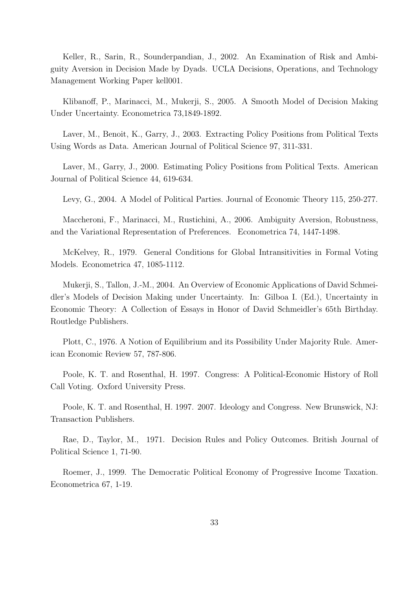Keller, R., Sarin, R., Sounderpandian, J., 2002. An Examination of Risk and Ambiguity Aversion in Decision Made by Dyads. UCLA Decisions, Operations, and Technology Management Working Paper kell001.

Klibanoff, P., Marinacci, M., Mukerji, S., 2005. A Smooth Model of Decision Making Under Uncertainty. Econometrica 73,1849-1892.

Laver, M., Benoit, K., Garry, J., 2003. Extracting Policy Positions from Political Texts Using Words as Data. American Journal of Political Science 97, 311-331.

Laver, M., Garry, J., 2000. Estimating Policy Positions from Political Texts. American Journal of Political Science 44, 619-634.

Levy, G., 2004. A Model of Political Parties. Journal of Economic Theory 115, 250-277.

Maccheroni, F., Marinacci, M., Rustichini, A., 2006. Ambiguity Aversion, Robustness, and the Variational Representation of Preferences. Econometrica 74, 1447-1498.

McKelvey, R., 1979. General Conditions for Global Intransitivities in Formal Voting Models. Econometrica 47, 1085-1112.

Mukerji, S., Tallon, J.-M., 2004. An Overview of Economic Applications of David Schmeidler's Models of Decision Making under Uncertainty. In: Gilboa I. (Ed.), Uncertainty in Economic Theory: A Collection of Essays in Honor of David Schmeidler's 65th Birthday. Routledge Publishers.

Plott, C., 1976. A Notion of Equilibrium and its Possibility Under Majority Rule. American Economic Review 57, 787-806.

Poole, K. T. and Rosenthal, H. 1997. Congress: A Political-Economic History of Roll Call Voting. Oxford University Press.

Poole, K. T. and Rosenthal, H. 1997. 2007. Ideology and Congress. New Brunswick, NJ: Transaction Publishers.

Rae, D., Taylor, M., 1971. Decision Rules and Policy Outcomes. British Journal of Political Science 1, 71-90.

Roemer, J., 1999. The Democratic Political Economy of Progressive Income Taxation. Econometrica 67, 1-19.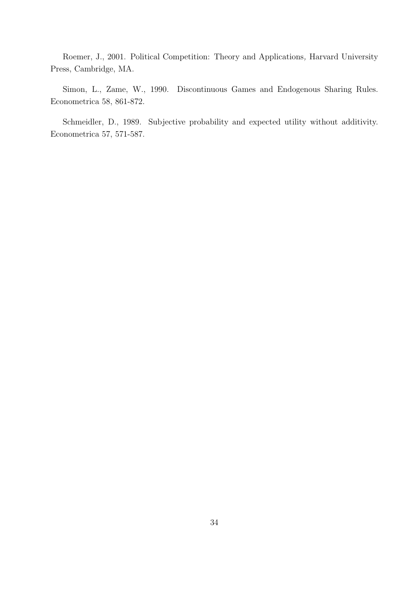Roemer, J., 2001. Political Competition: Theory and Applications, Harvard University Press, Cambridge, MA.

Simon, L., Zame, W., 1990. Discontinuous Games and Endogenous Sharing Rules. Econometrica 58, 861-872.

Schmeidler, D., 1989. Subjective probability and expected utility without additivity. Econometrica 57, 571-587.